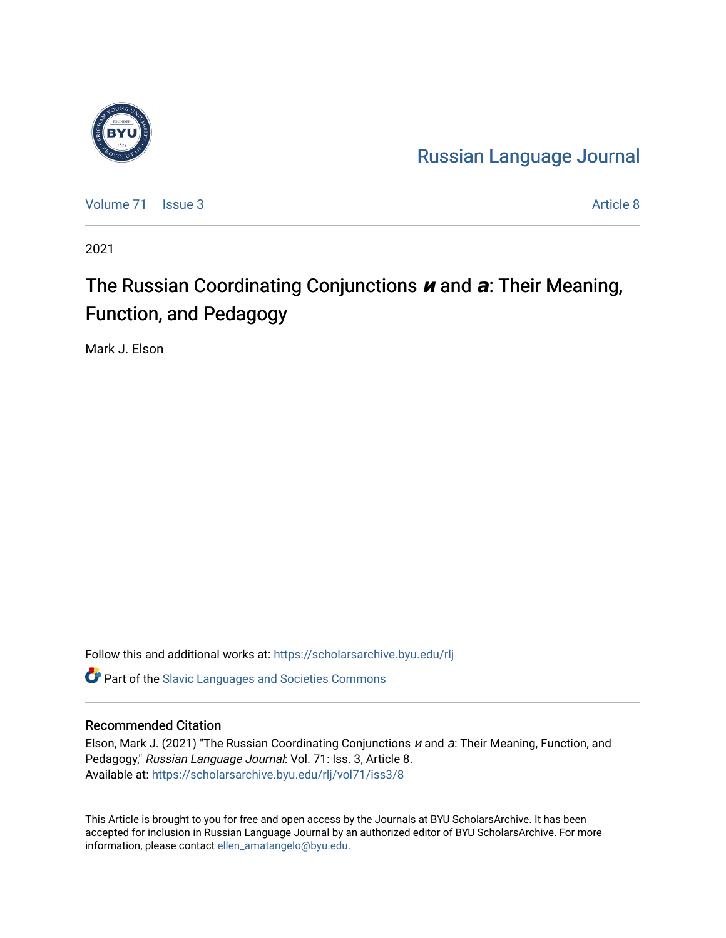

[Russian Language Journal](https://scholarsarchive.byu.edu/rlj) 

[Volume 71](https://scholarsarchive.byu.edu/rlj/vol71) | [Issue 3](https://scholarsarchive.byu.edu/rlj/vol71/iss3) Article 8

2021

# The Russian Coordinating Conjunctions **<sup>и</sup>** and **а**: Their Meaning, Function, and Pedagogy

Mark J. Elson

Follow this and additional works at: [https://scholarsarchive.byu.edu/rlj](https://scholarsarchive.byu.edu/rlj?utm_source=scholarsarchive.byu.edu%2Frlj%2Fvol71%2Fiss3%2F8&utm_medium=PDF&utm_campaign=PDFCoverPages)

**C** Part of the Slavic Languages and Societies Commons

# Recommended Citation

Elson, Mark J. (2021) "The Russian Coordinating Conjunctions  $u$  and  $a$ : Their Meaning, Function, and Pedagogy," Russian Language Journal: Vol. 71: Iss. 3, Article 8. Available at: [https://scholarsarchive.byu.edu/rlj/vol71/iss3/8](https://scholarsarchive.byu.edu/rlj/vol71/iss3/8?utm_source=scholarsarchive.byu.edu%2Frlj%2Fvol71%2Fiss3%2F8&utm_medium=PDF&utm_campaign=PDFCoverPages) 

This Article is brought to you for free and open access by the Journals at BYU ScholarsArchive. It has been accepted for inclusion in Russian Language Journal by an authorized editor of BYU ScholarsArchive. For more information, please contact [ellen\\_amatangelo@byu.edu.](mailto:ellen_amatangelo@byu.edu)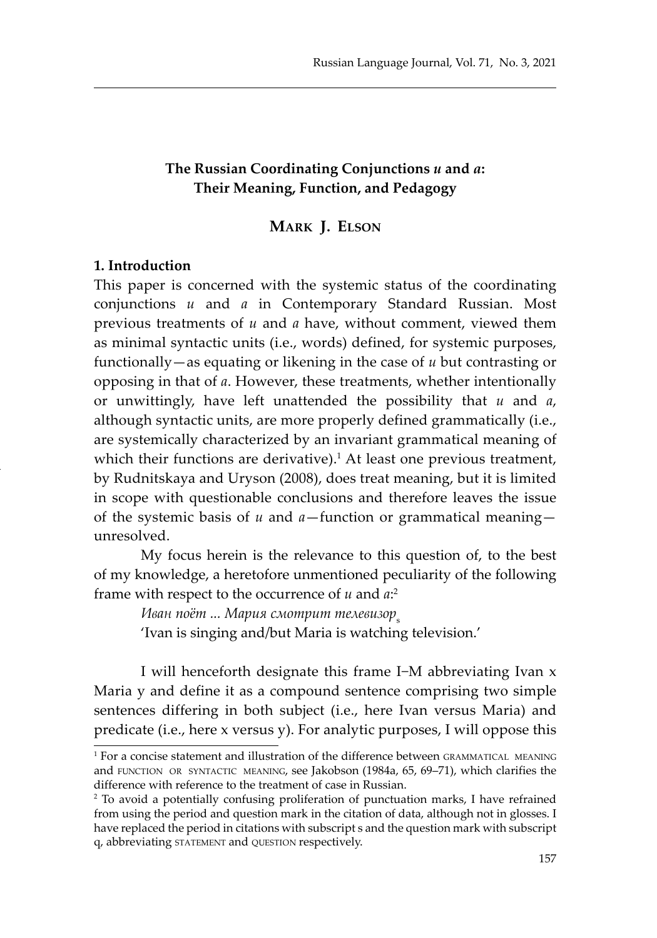# **The Russian Coordinating Conjunctions** *и* **and** *а***: Their Meaning, Function, and Pedagogy**

#### **Mark J. Elson**

#### **1. Introduction**

This paper is concerned with the systemic status of the coordinating conjunctions *и* and *а* in Contemporary Standard Russian. Most previous treatments of *и* and *а* have, without comment, viewed them as minimal syntactic units (i.e., words) defined, for systemic purposes, functionally—as equating or likening in the case of *и* but contrasting or opposing in that of *а*. However, these treatments, whether intentionally or unwittingly, have left unattended the possibility that *и* and *а*, although syntactic units, are more properly defined grammatically (i.e., are systemically characterized by an invariant grammatical meaning of which their functions are derivative).<sup>1</sup> At least one previous treatment, by Rudnitskaya and Uryson (2008), does treat meaning, but it is limited in scope with questionable conclusions and therefore leaves the issue of the systemic basis of *и* and *а*—function or grammatical meaning unresolved.

My focus herein is the relevance to this question of, to the best of my knowledge, a heretofore unmentioned peculiarity of the following frame with respect to the occurrence of *u* and  $a$ <sup>2</sup>

Иван поёт ... Мария смотрит телевизор<sub>s</sub> 'Ivan is singing and/but Maria is watching television.'

I will henceforth designate this frame I−M abbreviating Ivan x Maria y and define it as a compound sentence comprising two simple sentences differing in both subject (i.e., here Ivan versus Maria) and predicate (i.e., here x versus y). For analytic purposes, I will oppose this

<sup>1</sup> For a concise statement and illustration of the difference between grammatical meaning and function or syntactic meaning, see Jakobson (1984a, 65, 69–71), which clarifies the difference with reference to the treatment of case in Russian.

<sup>2</sup> To avoid a potentially confusing proliferation of punctuation marks, I have refrained from using the period and question mark in the citation of data, although not in glosses. I have replaced the period in citations with subscript s and the question mark with subscript q, abbreviating statement and question respectively.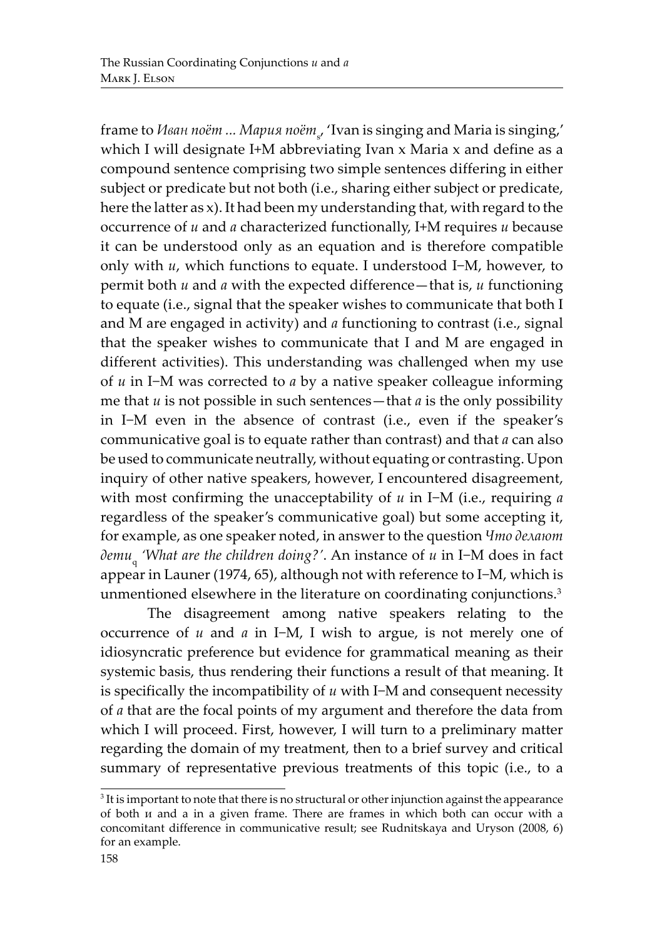frame to *Иван поёт ... Мария поёт*<sup>s</sup> , 'Ivan is singing and Maria is singing,' which I will designate I+M abbreviating Ivan x Maria x and define as a compound sentence comprising two simple sentences differing in either subject or predicate but not both (i.e., sharing either subject or predicate, here the latter as x). It had been my understanding that, with regard to the occurrence of *и* and *а* characterized functionally, I+M requires *и* because it can be understood only as an equation and is therefore compatible only with *и*, which functions to equate. I understood I−M, however, to permit both *и* and *а* with the expected difference—that is, *и* functioning to equate (i.e., signal that the speaker wishes to communicate that both I and M are engaged in activity) and *а* functioning to contrast (i.e., signal that the speaker wishes to communicate that I and M are engaged in different activities). This understanding was challenged when my use of *и* in I−M was corrected to *а* by a native speaker colleague informing me that *и* is not possible in such sentences—that *а* is the only possibility in I−M even in the absence of contrast (i.e., even if the speaker's communicative goal is to equate rather than contrast) and that *а* can also be used to communicate neutrally, without equating or contrasting. Upon inquiry of other native speakers, however, I encountered disagreement, with most confirming the unacceptability of *и* in I−M (i.e., requiring *а* regardless of the speaker's communicative goal) but some accepting it, for example, as one speaker noted, in answer to the question *Что делают дети* q  *'What are the children doing?'*. An instance of *и* in I−M does in fact appear in Launer (1974, 65), although not with reference to I−M, which is unmentioned elsewhere in the literature on coordinating conjunctions.<sup>3</sup>

The disagreement among native speakers relating to the occurrence of *и* and *а* in I−M, I wish to argue, is not merely one of idiosyncratic preference but evidence for grammatical meaning as their systemic basis, thus rendering their functions a result of that meaning. It is specifically the incompatibility of *и* with I−M and consequent necessity of *а* that are the focal points of my argument and therefore the data from which I will proceed. First, however, I will turn to a preliminary matter regarding the domain of my treatment, then to a brief survey and critical summary of representative previous treatments of this topic (i.e., to a

 $3$  It is important to note that there is no structural or other injunction against the appearance of both и and а in a given frame. There are frames in which both can occur with a concomitant difference in communicative result; see Rudnitskaya and Uryson (2008, 6) for an example.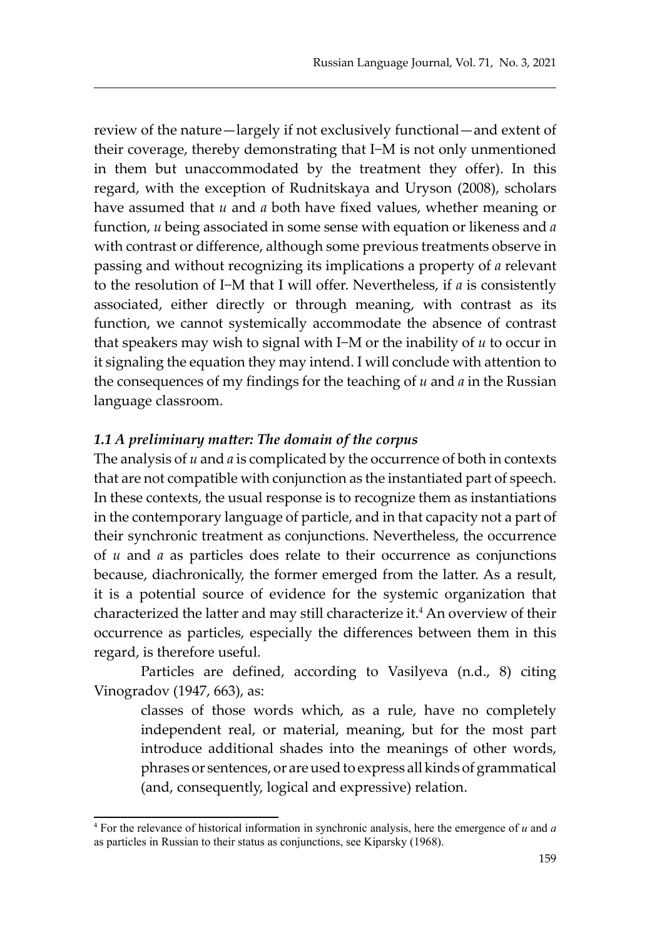review of the nature—largely if not exclusively functional—and extent of their coverage, thereby demonstrating that I−M is not only unmentioned in them but unaccommodated by the treatment they offer). In this regard, with the exception of Rudnitskaya and Uryson (2008), scholars have assumed that *и* and *а* both have fixed values, whether meaning or function, *и* being associated in some sense with equation or likeness and *а* with contrast or difference, although some previous treatments observe in passing and without recognizing its implications a property of *а* relevant to the resolution of I−M that I will offer. Nevertheless, if *а* is consistently associated, either directly or through meaning, with contrast as its function, we cannot systemically accommodate the absence of contrast that speakers may wish to signal with I−M or the inability of *и* to occur in it signaling the equation they may intend. I will conclude with attention to the consequences of my findings for the teaching of *и* and *а* in the Russian language classroom.

#### *1.1 A preliminary matter: The domain of the corpus*

The analysis of *и* and *а* is complicated by the occurrence of both in contexts that are not compatible with conjunction as the instantiated part of speech. In these contexts, the usual response is to recognize them as instantiations in the contemporary language of particle, and in that capacity not a part of their synchronic treatment as conjunctions. Nevertheless, the occurrence of *и* and *а* as particles does relate to their occurrence as conjunctions because, diachronically, the former emerged from the latter. As a result, it is a potential source of evidence for the systemic organization that characterized the latter and may still characterize it.<sup>4</sup> An overview of their occurrence as particles, especially the differences between them in this regard, is therefore useful.

Particles are defined, according to Vasilyeva (n.d., 8) citing Vinogradov (1947, 663), as:

classes of those words which, as a rule, have no completely independent real, or material, meaning, but for the most part introduce additional shades into the meanings of other words, phrases or sentences, or are used to express all kinds of grammatical (and, consequently, logical and expressive) relation.

<sup>4</sup> For the relevance of historical information in synchronic analysis, here the emergence of *и* and *а* as particles in Russian to their status as conjunctions, see Kiparsky (1968).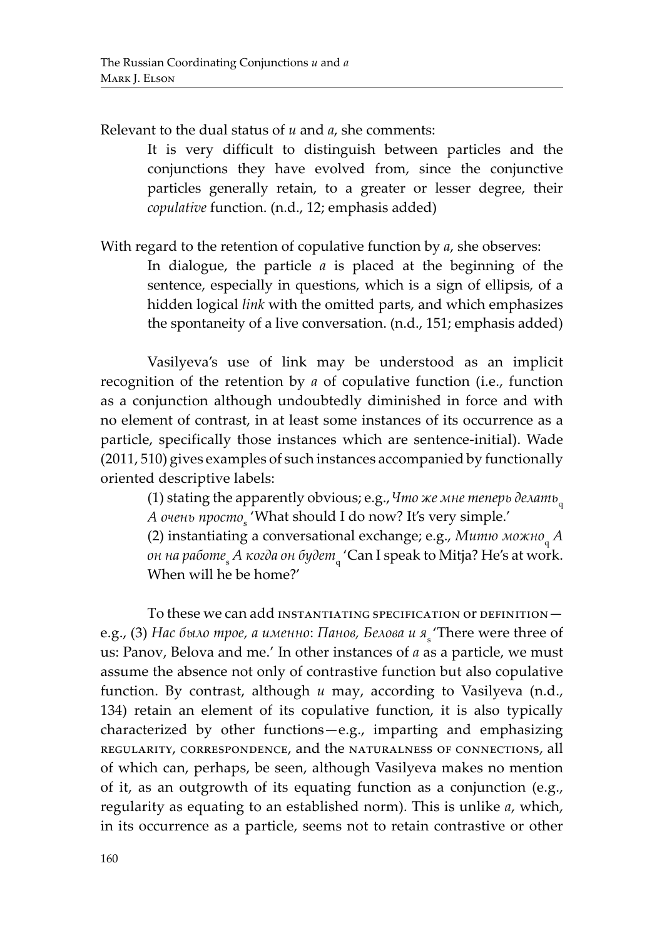Relevant to the dual status of *и* and *а*, she comments:

It is very difficult to distinguish between particles and the conjunctions they have evolved from, since the conjunctive particles generally retain, to a greater or lesser degree, their *copulative* function. (n.d., 12; emphasis added)

With regard to the retention of copulative function by *а*, she observes:

In dialogue, the particle *а* is placed at the beginning of the sentence, especially in questions, which is a sign of ellipsis, of a hidden logical *link* with the omitted parts, and which emphasizes the spontaneity of a live conversation. (n.d., 151; emphasis added)

Vasilyeva's use of link may be understood as an implicit recognition of the retention by *а* of copulative function (i.e., function as a conjunction although undoubtedly diminished in force and with no element of contrast, in at least some instances of its occurrence as a particle, specifically those instances which are sentence-initial). Wade (2011, 510) gives examples of such instances accompanied by functionally oriented descriptive labels:

(1) stating the apparently obvious; e.g.,*Что же мне теперь делать*<sup>q</sup> *А очень просто*<sup>s</sup> 'What should I do now? It's very simple.'

(2) instantiating a conversational exchange; e.g., *Митю можно*<sub>q</sub> A *он на работе*<sup>s</sup> *А когда он будет*<sup>q</sup> 'Can I speak to Mitja? He's at work. When will he be home?'

To these we can add instantiating specification or definition е.g., (3) *Нас было трое, а именно*: *Панов, Белова и я* 'There were three of us: Panov, Belova and me.' In other instances of *а* as a particle, we must assume the absence not only of contrastive function but also copulative function. By contrast, although *u* may, according to Vasilyeva (n.d., 134) retain an element of its copulative function, it is also typically characterized by other functions—e.g., imparting and emphasizing regularity, correspondence, and the naturalness of connections, all of which can, perhaps, be seen, although Vasilyeva makes no mention of it, as an outgrowth of its equating function as a conjunction (e.g., regularity as equating to an established norm). This is unlike *а*, which, in its occurrence as a particle, seems not to retain contrastive or other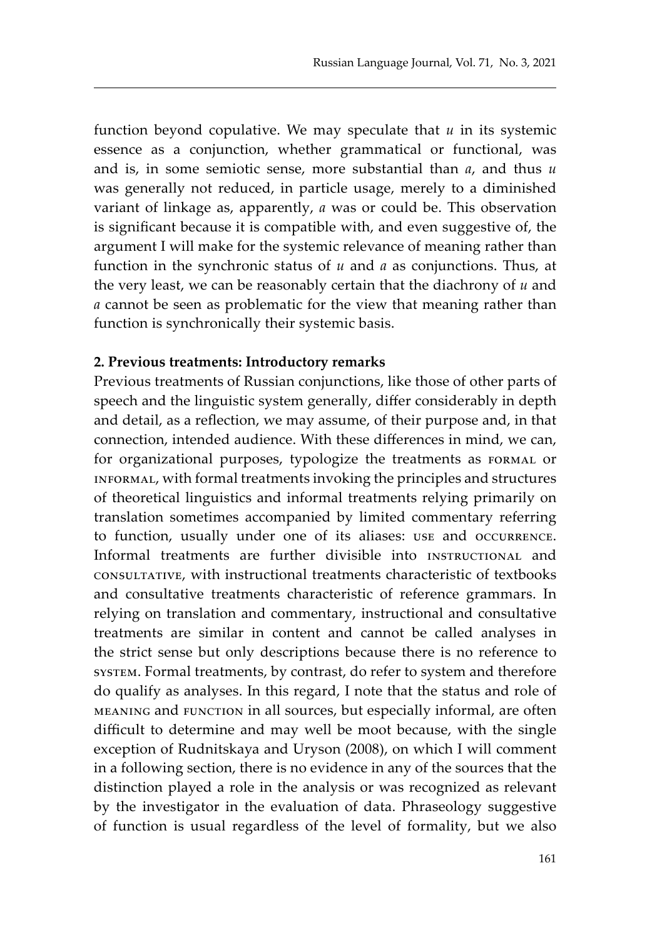function beyond copulative. We may speculate that *и* in its systemic essence as a conjunction, whether grammatical or functional, was and is, in some semiotic sense, more substantial than *а*, and thus *и* was generally not reduced, in particle usage, merely to a diminished variant of linkage as, apparently, *а* was or could be. This observation is significant because it is compatible with, and even suggestive of, the argument I will make for the systemic relevance of meaning rather than function in the synchronic status of *и* and *а* as conjunctions. Thus, at the very least, we can be reasonably certain that the diachrony of *и* and *а* cannot be seen as problematic for the view that meaning rather than function is synchronically their systemic basis.

#### **2. Previous treatments: Introductory remarks**

Previous treatments of Russian conjunctions, like those of other parts of speech and the linguistic system generally, differ considerably in depth and detail, as a reflection, we may assume, of their purpose and, in that connection, intended audience. With these differences in mind, we can, for organizational purposes, typologize the treatments as FORMAL or informal, with formal treatments invoking the principles and structures of theoretical linguistics and informal treatments relying primarily on translation sometimes accompanied by limited commentary referring to function, usually under one of its aliases: use and occurrence. Informal treatments are further divisible into INSTRUCTIONAL and consultative, with instructional treatments characteristic of textbooks and consultative treatments characteristic of reference grammars. In relying on translation and commentary, instructional and consultative treatments are similar in content and cannot be called analyses in the strict sense but only descriptions because there is no reference to system. Formal treatments, by contrast, do refer to system and therefore do qualify as analyses. In this regard, I note that the status and role of meaning and function in all sources, but especially informal, are often difficult to determine and may well be moot because, with the single exception of Rudnitskaya and Uryson (2008), on which I will comment in a following section, there is no evidence in any of the sources that the distinction played a role in the analysis or was recognized as relevant by the investigator in the evaluation of data. Phraseology suggestive of function is usual regardless of the level of formality, but we also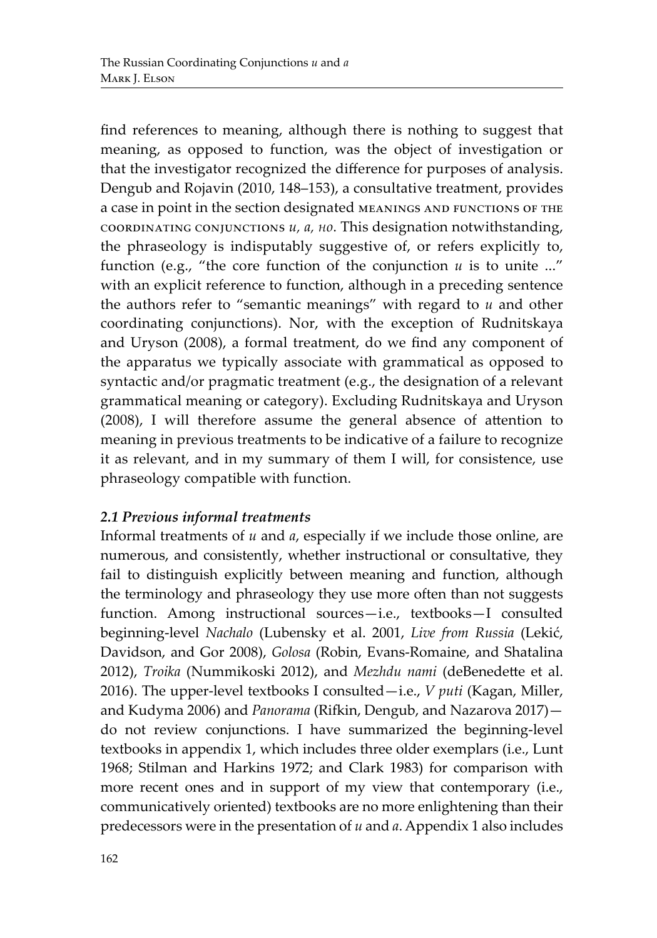find references to meaning, although there is nothing to suggest that meaning, as opposed to function, was the object of investigation or that the investigator recognized the difference for purposes of analysis. Dengub and Rojavin (2010, 148–153), a consultative treatment, provides a case in point in the section designated meanings and functions of the coordinating conjunctions *и, а, но*. This designation notwithstanding, the phraseology is indisputably suggestive of, or refers explicitly to, function (e.g., "the core function of the conjunction  $u$  is to unite ..." with an explicit reference to function, although in a preceding sentence the authors refer to "semantic meanings" with regard to *и* and other coordinating conjunctions). Nor, with the exception of Rudnitskaya and Uryson (2008), a formal treatment, do we find any component of the apparatus we typically associate with grammatical as opposed to syntactic and/or pragmatic treatment (e.g., the designation of a relevant grammatical meaning or category). Excluding Rudnitskaya and Uryson (2008), I will therefore assume the general absence of attention to meaning in previous treatments to be indicative of a failure to recognize it as relevant, and in my summary of them I will, for consistence, use phraseology compatible with function.

# *2.1 Previous informal treatments*

Informal treatments of *и* and *а*, especially if we include those online, are numerous, and consistently, whether instructional or consultative, they fail to distinguish explicitly between meaning and function, although the terminology and phraseology they use more often than not suggests function. Among instructional sources—i.e., textbooks—I consulted beginning-level *Nachalo* (Lubensky et al. 2001, *Live from Russia* (Lekić, Davidson, and Gor 2008), *Golosa* (Robin, Evans-Romaine, and Shatalina 2012), *Troika* (Nummikoski 2012), and *Mezhdu nami* (deBenedette et al. 2016). The upper-level textbooks I consulted—i.e., *V puti* (Kagan, Miller, and Kudyma 2006) and *Panorama* (Rifkin, Dengub, and Nazarova 2017) do not review conjunctions. I have summarized the beginning-level textbooks in appendix 1, which includes three older exemplars (i.e., Lunt 1968; Stilman and Harkins 1972; and Clark 1983) for comparison with more recent ones and in support of my view that contemporary (i.e., communicatively oriented) textbooks are no more enlightening than their predecessors were in the presentation of *и* and *а*. Appendix 1 also includes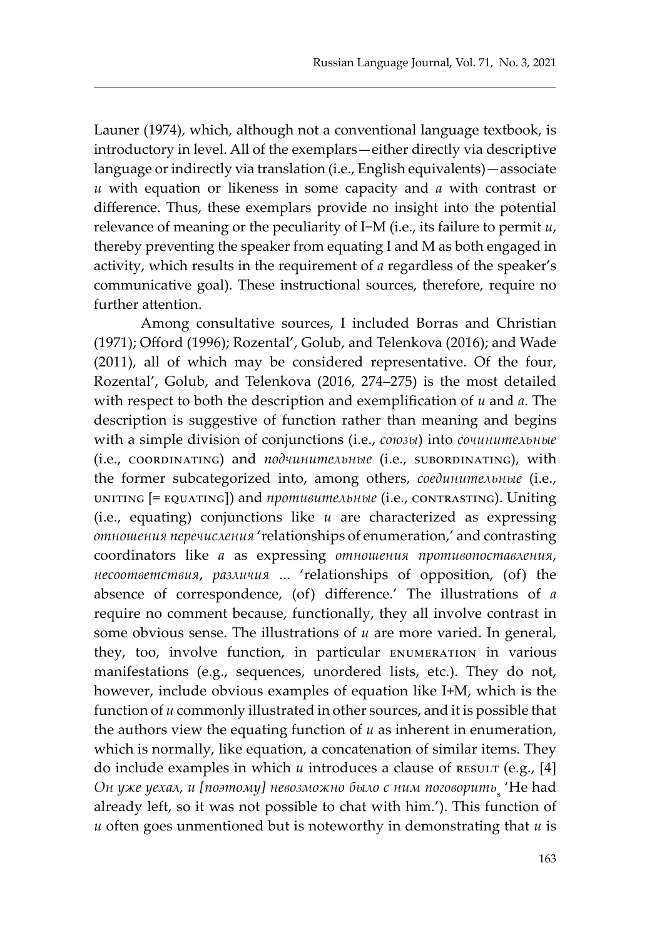Launer (1974), which, although not a conventional language textbook, is introductory in level. All of the exemplars—either directly via descriptive language or indirectly via translation (i.e., English equivalents)—associate *и* with equation or likeness in some capacity and *а* with contrast or difference. Thus, these exemplars provide no insight into the potential relevance of meaning or the peculiarity of I−M (i.e., its failure to permit *и*, thereby preventing the speaker from equating I and M as both engaged in activity, which results in the requirement of *а* regardless of the speaker's communicative goal). These instructional sources, therefore, require no further attention.

Among consultative sources, I included Borras and Christian (1971); Offord (1996); Rozental', Golub, and Telenkova (2016); and Wade (2011), all of which may be considered representative. Of the four, Rozental', Golub, and Telenkova (2016, 274–275) is the most detailed with respect to both the description and exemplification of *и* and *а*. The description is suggestive of function rather than meaning and begins with a simple division of conjunctions (i.e., *союзы*) into *сочинительные* (i.e., coordinating) and *подчинительные* (i.e., subordinating), with the former subcategorized into, among others, *соединительные* (i.e., uniting [= equating]) and *противительные* (i.e., contrasting). Uniting (i.e., equating) conjunctions like *и* are characterized as expressing *отношения перечисления* 'relationships of enumeration,' and contrasting coordinators like *а* as expressing *отношения противопоставления*, *несоответствия*, *различия* ... 'relationships of opposition, (of) the absence of correspondence, (of) difference.' The illustrations of *а* require no comment because, functionally, they all involve contrast in some obvious sense. The illustrations of *и* are more varied. In general, they, too, involve function, in particular enumeration in various manifestations (e.g., sequences, unordered lists, etc.). They do not, however, include obvious examples of equation like I+M, which is the function of *u* commonly illustrated in other sources, and it is possible that the authors view the equating function of *и* as inherent in enumeration, which is normally, like equation, a concatenation of similar items. They do include examples in which *u* introduces a clause of RESULT (e.g., [4] Он уже уехал, и [поэтому] невозможно было с ним поговорить<sub>s</sub> 'He had already left, so it was not possible to chat with him.'). This function of *и* often goes unmentioned but is noteworthy in demonstrating that *и* is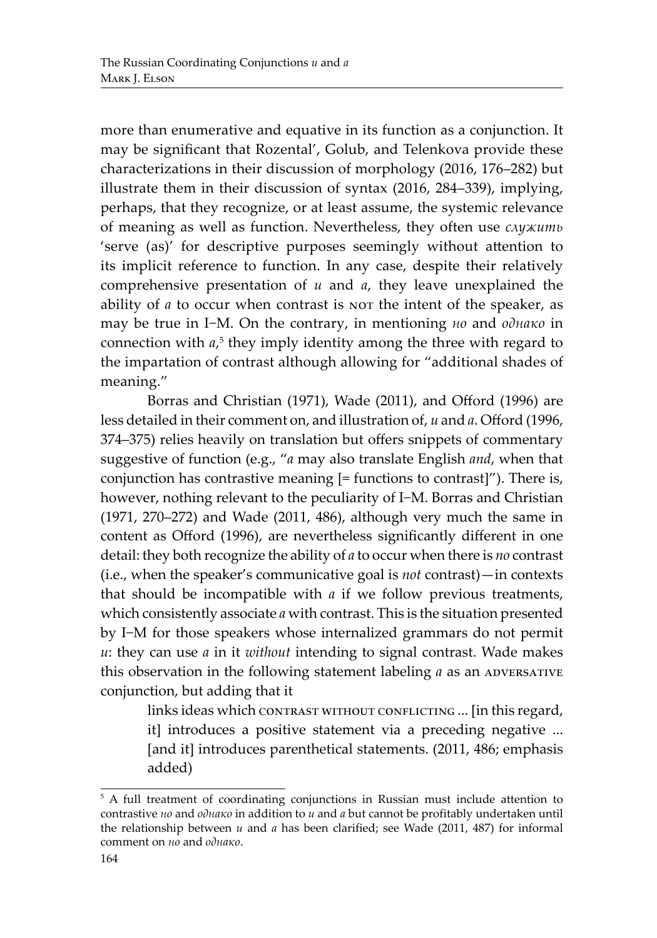more than enumerative and equative in its function as a conjunction. It may be significant that Rozental', Golub, and Telenkova provide these characterizations in their discussion of morphology (2016, 176–282) but illustrate them in their discussion of syntax (2016, 284–339), implying, perhaps, that they recognize, or at least assume, the systemic relevance of meaning as well as function. Nevertheless, they often use *служить* 'serve (as)' for descriptive purposes seemingly without attention to its implicit reference to function. In any case, despite their relatively comprehensive presentation of *и* and *а*, they leave unexplained the ability of *a* to occur when contrast is nor the intent of the speaker, as may be true in I−M. On the contrary, in mentioning *но* and *однако* in connection with  $a$ <sup>5</sup> they imply identity among the three with regard to the impartation of contrast although allowing for "additional shades of meaning."

Borras and Christian (1971), Wade (2011), and Offord (1996) are less detailed in their comment on, and illustration of, *и* and *а*. Offord (1996, 374–375) relies heavily on translation but offers snippets of commentary suggestive of function (e.g., "*а* may also translate English *and*, when that conjunction has contrastive meaning [= functions to contrast]"). There is, however, nothing relevant to the peculiarity of I−M. Borras and Christian (1971, 270–272) and Wade (2011, 486), although very much the same in content as Offord (1996), are nevertheless significantly different in one detail: they both recognize the ability of *а* to occur when there is *no* contrast (i.e., when the speaker's communicative goal is *not* contrast)—in contexts that should be incompatible with *а* if we follow previous treatments, which consistently associate *а* with contrast. This is the situation presented by I−M for those speakers whose internalized grammars do not permit *и*: they can use *a* in it *without* intending to signal contrast. Wade makes this observation in the following statement labeling *a* as an ADVERSATIVE conjunction, but adding that it

> links ideas which contrast without conflicting ... [in this regard, it] introduces a positive statement via a preceding negative ... [and it] introduces parenthetical statements. (2011, 486; emphasis added)

<sup>&</sup>lt;sup>5</sup> A full treatment of coordinating conjunctions in Russian must include attention to contrastive *но* and *однако* in addition to *и* and *а* but cannot be profitably undertaken until the relationship between *и* and *а* has been clarified; see Wade (2011, 487) for informal comment on *но* and *однако*.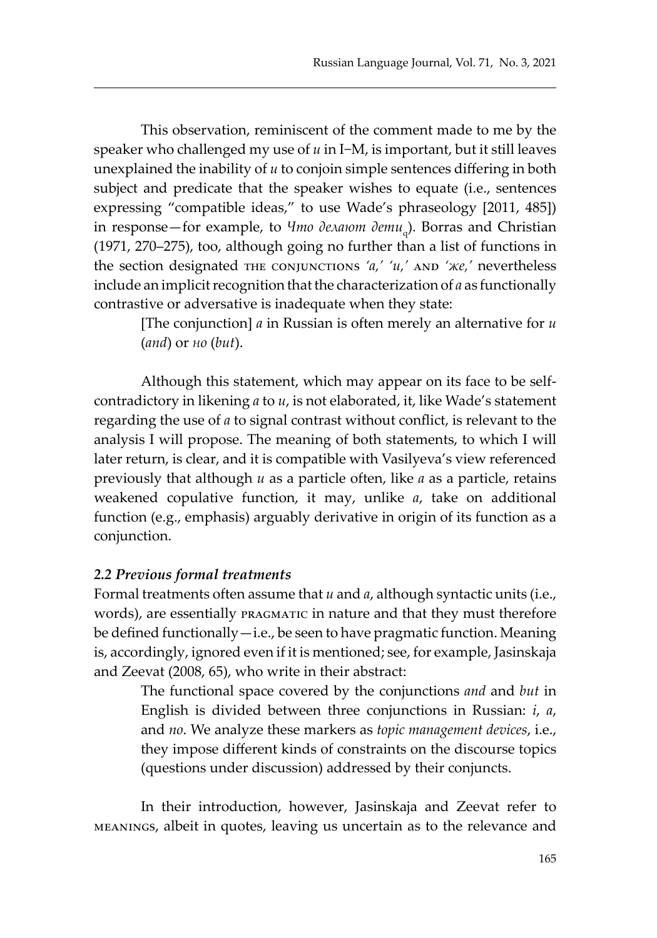This observation, reminiscent of the comment made to me by the speaker who challenged my use of *и* in I−M, is important, but it still leaves unexplained the inability of *и* to conjoin simple sentences differing in both subject and predicate that the speaker wishes to equate (i.e., sentences expressing "compatible ideas," to use Wade's phraseology [2011, 485]) in response—for example, to *Что делают дети* q ). Borras and Christian (1971, 270–275), too, although going no further than a list of functions in the section designated тне conjunctions 'a,' 'и,' AND 'же,' nevertheless include an implicit recognition that the characterization of *а* as functionally contrastive or adversative is inadequate when they state:

[The conjunction] *а* in Russian is often merely an alternative for *и* (*and*) or *но* (*but*).

Although this statement, which may appear on its face to be selfcontradictory in likening *а* to *и*, is not elaborated, it, like Wade's statement regarding the use of *а* to signal contrast without conflict, is relevant to the analysis I will propose. The meaning of both statements, to which I will later return, is clear, and it is compatible with Vasilyeva's view referenced previously that although *и* as a particle often, like *а* as a particle, retains weakened copulative function, it may, unlike *а*, take on additional function (e.g., emphasis) arguably derivative in origin of its function as a conjunction.

#### *2.2 Previous formal treatments*

Formal treatments often assume that *и* and *а*, although syntactic units (i.e., words), are essentially PRAGMATIC in nature and that they must therefore be defined functionally—i.e., be seen to have pragmatic function. Meaning is, accordingly, ignored even if it is mentioned; see, for example, Jasinskaja and Zeevat (2008, 65), who write in their abstract:

The functional space covered by the conjunctions *and* and *but* in English is divided between three conjunctions in Russian: *i*, *a*, and *no*. We analyze these markers as *topic management devices*, i.e., they impose different kinds of constraints on the discourse topics (questions under discussion) addressed by their conjuncts.

In their introduction, however, Jasinskaja and Zeevat refer to meanings, albeit in quotes, leaving us uncertain as to the relevance and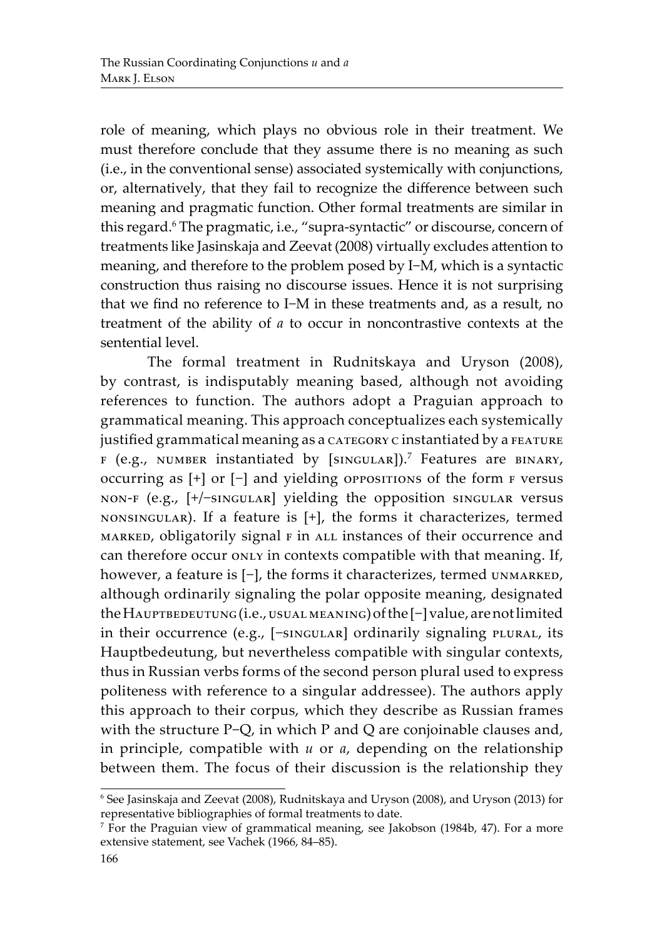role of meaning, which plays no obvious role in their treatment. We must therefore conclude that they assume there is no meaning as such (i.e., in the conventional sense) associated systemically with conjunctions, or, alternatively, that they fail to recognize the difference between such meaning and pragmatic function. Other formal treatments are similar in this regard.6 The pragmatic, i.e., "supra-syntactic" or discourse, concern of treatments like Jasinskaja and Zeevat (2008) virtually excludes attention to meaning, and therefore to the problem posed by I−M, which is a syntactic construction thus raising no discourse issues. Hence it is not surprising that we find no reference to I−M in these treatments and, as a result, no treatment of the ability of *а* to occur in noncontrastive contexts at the sentential level.

The formal treatment in Rudnitskaya and Uryson (2008), by contrast, is indisputably meaning based, although not avoiding references to function. The authors adopt a Praguian approach to grammatical meaning. This approach conceptualizes each systemically justified grammatical meaning as a category c instantiated by a FEATURE  $F$  (e.g., NUMBER instantiated by [SINGULAR]).<sup>7</sup> Features are BINARY, occurring as [+] or [−] and yielding oppositions of the form f versus non-f (e.g., [+/−singular] yielding the opposition singular versus nonsingular). If a feature is [+], the forms it characterizes, termed MARKED, obligatorily signal  $F$  in ALL instances of their occurrence and can therefore occur only in contexts compatible with that meaning. If, however, a feature is [-], the forms it characterizes, termed UNMARKED, although ordinarily signaling the polar opposite meaning, designated the HAUPTBEDEUTUNG (i.e., USUAL MEANING) of the [-] value, are not limited in their occurrence (e.g., [-singular] ordinarily signaling plural, its Hauptbedeutung, but nevertheless compatible with singular contexts, thus in Russian verbs forms of the second person plural used to express politeness with reference to a singular addressee). The authors apply this approach to their corpus, which they describe as Russian frames with the structure P−Q, in which P and Q are conjoinable clauses and, in principle, compatible with *и* or *a*, depending on the relationship between them. The focus of their discussion is the relationship they

<sup>6</sup> See Jasinskaja and Zeevat (2008), Rudnitskaya and Uryson (2008), and Uryson (2013) for representative bibliographies of formal treatments to date.

<sup>7</sup> For the Praguian view of grammatical meaning, see Jakobson (1984b, 47). For a more extensive statement, see Vachek (1966, 84–85).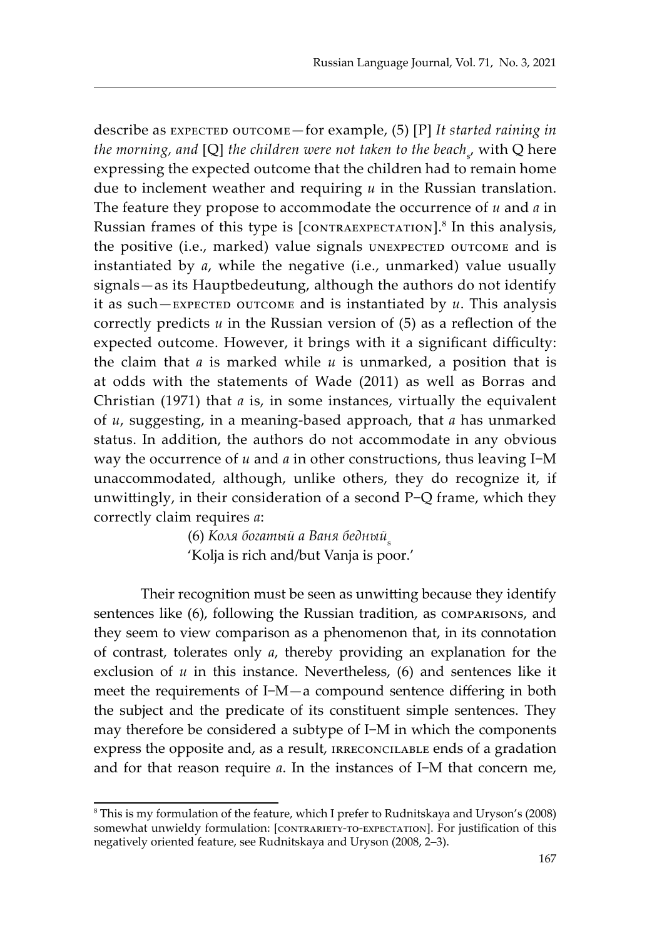describe as EXPECTED OUTCOME—for example, (5) [P] It started raining in *the morning, and [Q] the children were not taken to the beach<sub>s</sub>, with Q here* expressing the expected outcome that the children had to remain home due to inclement weather and requiring *и* in the Russian translation. The feature they propose to accommodate the occurrence of *и* and *a* in Russian frames of this type is [CONTRAEXPECTATION].<sup>8</sup> In this analysis, the positive (i.e., marked) value signals UNEXPECTED OUTCOME and is instantiated by *а*, while the negative (i.e., unmarked) value usually signals—as its Hauptbedeutung, although the authors do not identify it as such—expected outcome and is instantiated by *и*. This analysis correctly predicts *и* in the Russian version of (5) as a reflection of the expected outcome. However, it brings with it a significant difficulty: the claim that *a* is marked while *и* is unmarked, a position that is at odds with the statements of Wade (2011) as well as Borras and Christian (1971) that *a* is, in some instances, virtually the equivalent of *и*, suggesting, in a meaning-based approach, that *a* has unmarked status. In addition, the authors do not accommodate in any obvious way the occurrence of *и* and *а* in other constructions, thus leaving I−M unaccommodated, although, unlike others, they do recognize it, if unwittingly, in their consideration of a second P−Q frame, which they correctly claim requires *а*:

> (6) Коля богатый а Ваня бедный<sub>s</sub> 'Kolja is rich and/but Vanja is poor.'

Their recognition must be seen as unwitting because they identify sentences like (6), following the Russian tradition, as comparisons, and they seem to view comparison as a phenomenon that, in its connotation of contrast, tolerates only *а*, thereby providing an explanation for the exclusion of *u* in this instance. Nevertheless, (6) and sentences like it meet the requirements of I−M—a compound sentence differing in both the subject and the predicate of its constituent simple sentences. They may therefore be considered a subtype of I−M in which the components express the opposite and, as a result, irreconcilable ends of a gradation and for that reason require *а*. In the instances of I−M that concern me,

<sup>8</sup> This is my formulation of the feature, which I prefer to Rudnitskaya and Uryson's (2008) somewhat unwieldy formulation: [CONTRARIETY-TO-EXPECTATION]. For justification of this negatively oriented feature, see Rudnitskaya and Uryson (2008, 2–3).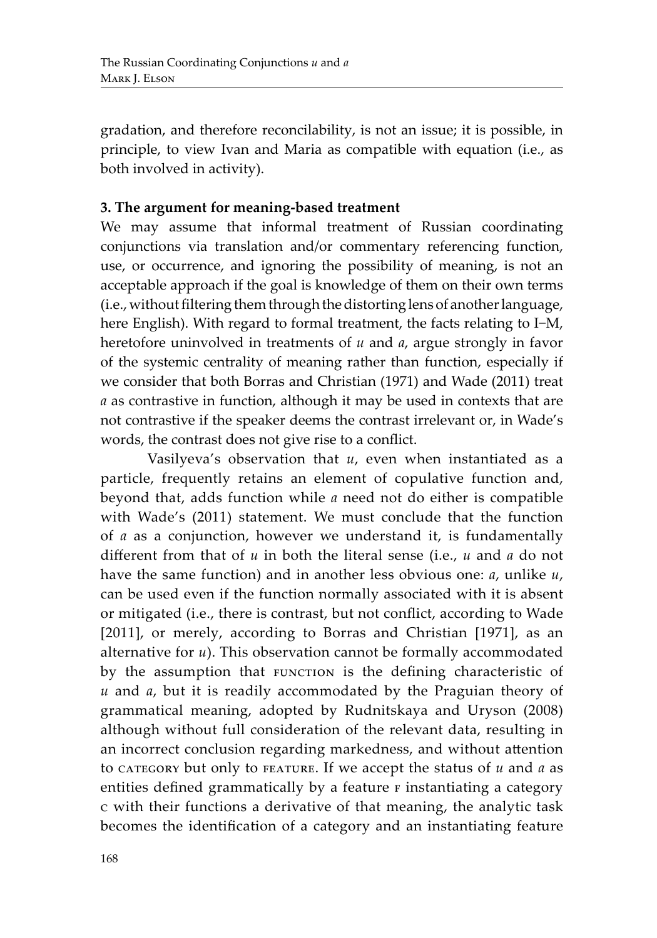gradation, and therefore reconcilability, is not an issue; it is possible, in principle, to view Ivan and Maria as compatible with equation (i.e., as both involved in activity).

# **3. The argument for meaning-based treatment**

We may assume that informal treatment of Russian coordinating conjunctions via translation and/or commentary referencing function, use, or occurrence, and ignoring the possibility of meaning, is not an acceptable approach if the goal is knowledge of them on their own terms (i.e., without filtering them through the distorting lens of another language, here English). With regard to formal treatment, the facts relating to I−M, heretofore uninvolved in treatments of *и* and *a*, argue strongly in favor of the systemic centrality of meaning rather than function, especially if we consider that both Borras and Christian (1971) and Wade (2011) treat *a* as contrastive in function, although it may be used in contexts that are not contrastive if the speaker deems the contrast irrelevant or, in Wade's words, the contrast does not give rise to a conflict.

Vasilyeva's observation that *и*, even when instantiated as a particle, frequently retains an element of copulative function and, beyond that, adds function while *а* need not do either is compatible with Wade's (2011) statement. We must conclude that the function of *а* as a conjunction, however we understand it, is fundamentally different from that of *и* in both the literal sense (i.e., *и* and *a* do not have the same function) and in another less obvious one: *а*, unlike *и*, can be used even if the function normally associated with it is absent or mitigated (i.e., there is contrast, but not conflict, according to Wade [2011], or merely, according to Borras and Christian [1971], as an alternative for *и*). This observation cannot be formally accommodated by the assumption that FUNCTION is the defining characteristic of *и* and *а*, but it is readily accommodated by the Praguian theory of grammatical meaning, adopted by Rudnitskaya and Uryson (2008) although without full consideration of the relevant data, resulting in an incorrect conclusion regarding markedness, and without attention to category but only to FEATURE. If we accept the status of *u* and *a* as entities defined grammatically by a feature  $F$  instantiating a category c with their functions a derivative of that meaning, the analytic task becomes the identification of a category and an instantiating feature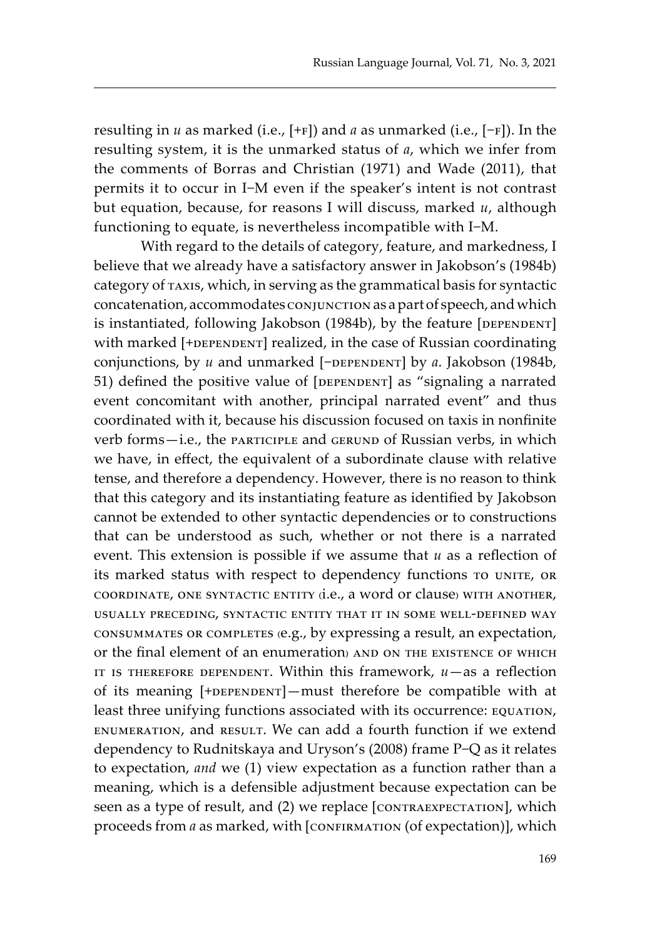resulting in *и* as marked (i.e., [+f]) and *а* as unmarked (i.e., [−f]). In the resulting system, it is the unmarked status of *а*, which we infer from the comments of Borras and Christian (1971) and Wade (2011), that permits it to occur in I−M even if the speaker's intent is not contrast but equation, because, for reasons I will discuss, marked *и*, although functioning to equate, is nevertheless incompatible with I−M.

With regard to the details of category, feature, and markedness, I believe that we already have a satisfactory answer in Jakobson's (1984b) category of taxis, which, in serving as the grammatical basis for syntactic concatenation, accommodates conjunction as a part of speech, and which is instantiated, following Jakobson (1984b), by the feature [DEPENDENT] with marked [+DEPENDENT] realized, in the case of Russian coordinating conjunctions, by *и* and unmarked [−DEPENDENT] by *а*. Jakobson (1984b, 51) defined the positive value of [DEPENDENT] as "signaling a narrated event concomitant with another, principal narrated event" and thus coordinated with it, because his discussion focused on taxis in nonfinite verb forms-i.e., the participle and GERUND of Russian verbs, in which we have, in effect, the equivalent of a subordinate clause with relative tense, and therefore a dependency. However, there is no reason to think that this category and its instantiating feature as identified by Jakobson cannot be extended to other syntactic dependencies or to constructions that can be understood as such, whether or not there is a narrated event. This extension is possible if we assume that *и* as a reflection of its marked status with respect to dependency functions to UNITE, OR coordinate, one syntactic entity (i.e., a word or clause) with another, usually preceding, syntactic entity that it in some well-defined way consummates or completes (e.g., by expressing a result, an expectation, or the final element of an enumeration) and on the existence of which IT IS THEREFORE DEPENDENT. Within this framework,  $u$  - as a reflection of its meaning  $[+$ DEPENDENT $]$ —must therefore be compatible with at least three unifying functions associated with its occurrence: EQUATION, enumeration, and result. We can add a fourth function if we extend dependency to Rudnitskaya and Uryson's (2008) frame P−Q as it relates to expectation, *and* we (1) view expectation as a function rather than a meaning, which is a defensible adjustment because expectation can be seen as a type of result, and (2) we replace [CONTRAEXPECTATION], which proceeds from *a* as marked, with [CONFIRMATION (of expectation)], which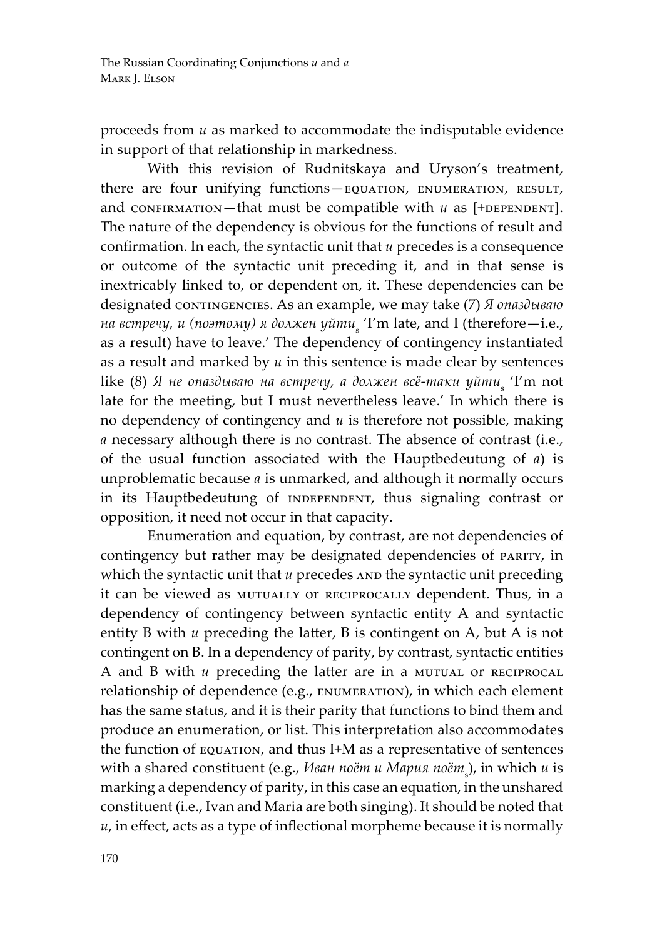proceeds from *и* as marked to accommodate the indisputable evidence in support of that relationship in markedness.

With this revision of Rudnitskaya and Uryson's treatment, there are four unifying functions-EQUATION, ENUMERATION, RESULT, and confirmation—that must be compatible with  $u$  as  $[+$ DEPENDENT]. The nature of the dependency is obvious for the functions of result and confirmation. In each, the syntactic unit that *и* precedes is a consequence or outcome of the syntactic unit preceding it, and in that sense is inextricably linked to, or dependent on, it. These dependencies can be designated conтимсенсиев. As an example, we may take (7) *Я опаздываю на встречу, и (поэтому) я должен уйти*<sup>s</sup> 'I'm late, and I (therefore—i.e., as a result) have to leave.' The dependency of contingency instantiated as a result and marked by *и* in this sentence is made clear by sentences like (8) Я не опаздываю на встречу, а должен всё-таки уйти<sub>s</sub> 'I'm not late for the meeting, but I must nevertheless leave.' In which there is no dependency of contingency and *и* is therefore not possible, making *а* necessary although there is no contrast. The absence of contrast (i.e., of the usual function associated with the Hauptbedeutung of *а*) is unproblematic because *а* is unmarked, and although it normally occurs in its Hauptbedeutung of INDEPENDENT, thus signaling contrast or opposition, it need not occur in that capacity.

Enumeration and equation, by contrast, are not dependencies of contingency but rather may be designated dependencies of PARITY, in which the syntactic unit that *u* precedes AND the syntactic unit preceding it can be viewed as MUTUALLY OT RECIPROCALLY dependent. Thus, in a dependency of contingency between syntactic entity A and syntactic entity B with *и* preceding the latter, B is contingent on A, but A is not contingent on B. In a dependency of parity, by contrast, syntactic entities A and B with *u* preceding the latter are in a MUTUAL OT RECIPROCAL relationship of dependence (e.g., ENUMERATION), in which each element has the same status, and it is their parity that functions to bind them and produce an enumeration, or list. This interpretation also accommodates the function of EQUATION, and thus I+M as a representative of sentences with a shared constituent (e.g., *Иван поёт и Мария поёт*<sup>s</sup> ), in which *и* is marking a dependency of parity, in this case an equation, in the unshared constituent (i.e., Ivan and Maria are both singing). It should be noted that *и*, in effect, acts as a type of inflectional morpheme because it is normally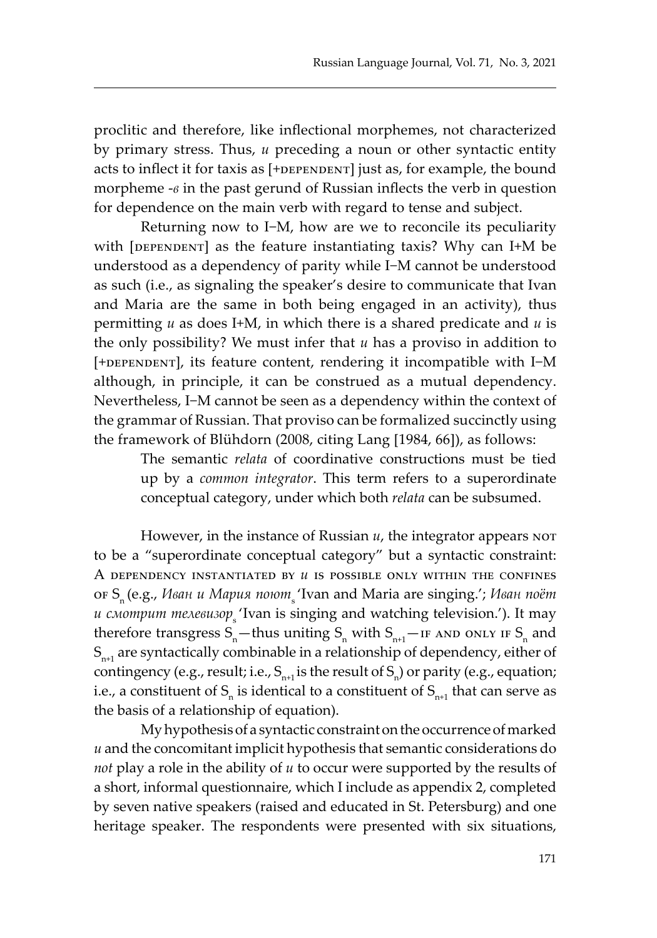proclitic and therefore, like inflectional morphemes, not characterized by primary stress. Thus, *и* preceding a noun or other syntactic entity acts to inflect it for taxis as  $[+$ DEPENDENT] just as, for example, the bound morpheme -*в* in the past gerund of Russian inflects the verb in question for dependence on the main verb with regard to tense and subject.

Returning now to I−M, how are we to reconcile its peculiarity with  $[DEFINIDENT]$  as the feature instantiating taxis? Why can I+M be understood as a dependency of parity while I−M cannot be understood as such (i.e., as signaling the speaker's desire to communicate that Ivan and Maria are the same in both being engaged in an activity), thus permitting *и* as does I+M, in which there is a shared predicate and *и* is the only possibility? We must infer that *и* has a proviso in addition to [+DEPENDENT], its feature content, rendering it incompatible with I-M although, in principle, it can be construed as a mutual dependency. Nevertheless, I−M cannot be seen as a dependency within the context of the grammar of Russian. That proviso can be formalized succinctly using the framework of Blühdorn (2008, citing Lang [1984, 66]), as follows:

The semantic *relata* of coordinative constructions must be tied up by a *common integrator*. This term refers to a superordinate conceptual category, under which both *relata* can be subsumed.

However, in the instance of Russian *и*, the integrator appears not to be a "superordinate conceptual category" but a syntactic constraint: A dependency instantiated by *и* is possible only within the confines of Sn (e.g., *Иван и Мария поют*s 'Ivan and Maria are singing.'; *Иван поёт и смотрит телевизор* 'Ivan is singing and watching television.'). It may therefore transgress  $S_n$ —thus uniting  $S_n$  with  $S_{n+1}$ —IF AND ONLY IF  $S_n$  and  $S_{n+1}$  are syntactically combinable in a relationship of dependency, either of contingency (e.g., result; i.e.,  $S_{n+1}$  is the result of  $S_n$ ) or parity (e.g., equation; i.e., a constituent of  $S_n$  is identical to a constituent of  $S_{n+1}$  that can serve as the basis of a relationship of equation).

My hypothesis of a syntactic constraint on the occurrence of marked *и* and the concomitant implicit hypothesis that semantic considerations do *not* play a role in the ability of *и* to occur were supported by the results of a short, informal questionnaire, which I include as appendix 2, completed by seven native speakers (raised and educated in St. Petersburg) and one heritage speaker. The respondents were presented with six situations,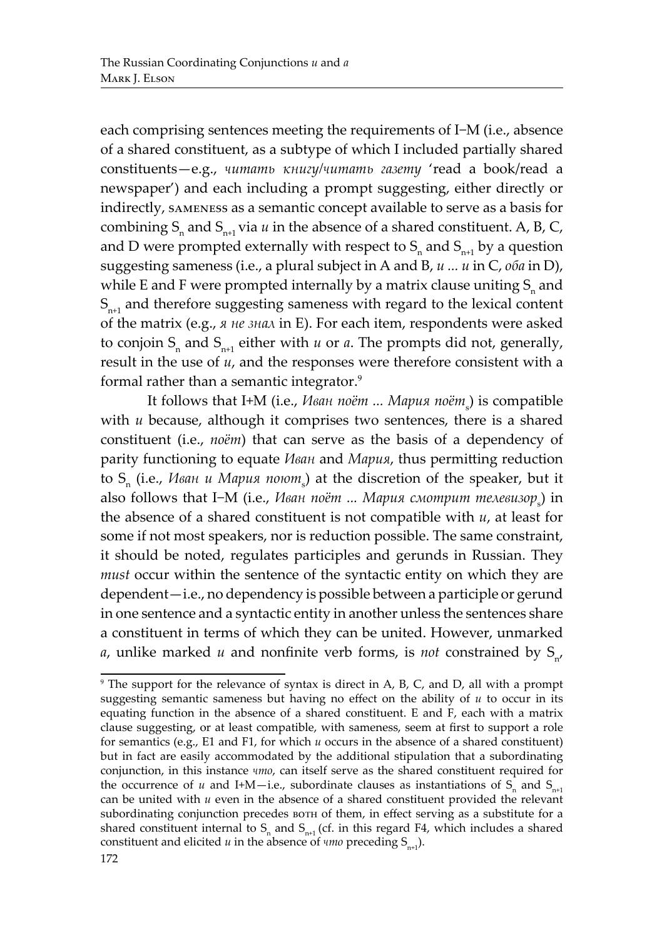each comprising sentences meeting the requirements of I−M (i.e., absence of a shared constituent, as a subtype of which I included partially shared constituents—e.g., *читать книгу/читать газету* 'read a book/read a newspaper') and each including a prompt suggesting, either directly or indirectly, sameness as a semantic concept available to serve as a basis for combining  $S_n$  and  $S_{n+1}$  via *u* in the absence of a shared constituent. A, B, C, and D were prompted externally with respect to  $S_n$  and  $S_{n+1}$  by a question suggesting sameness (i.e., a plural subject in A and B, *и ... и* in C, *оба* in D), while E and F were prompted internally by a matrix clause uniting  $S_n$  and  $S<sub>n+1</sub>$  and therefore suggesting sameness with regard to the lexical content of the matrix (e.g., *я не знал* in E). For each item, respondents were asked to conjoin  $S_n$  and  $S_{n+1}$  either with *u* or *a*. The prompts did not, generally, result in the use of *и*, and the responses were therefore consistent with a formal rather than a semantic integrator.<sup>9</sup>

It follows that I+M (i.e., *Иван поёт ... Мария поёт*<sup>s</sup> ) is compatible with *u* because, although it comprises two sentences, there is a shared constituent (i.e., *поёт*) that can serve as the basis of a dependency of parity functioning to equate *Иван* and *Мария*, thus permitting reduction to S<sub>n</sub> (i.e.*, Иван и Мария поют*<sub>s</sub>) at the discretion of the speaker, but it also follows that I−M (i.e.*, Иван поёт ... Мария смотрит телевизор*<sub>s</sub>) in the absence of a shared constituent is not compatible with *и*, at least for some if not most speakers, nor is reduction possible. The same constraint, it should be noted, regulates participles and gerunds in Russian. They *must* occur within the sentence of the syntactic entity on which they are dependent—i.e., no dependency is possible between a participle or gerund in one sentence and a syntactic entity in another unless the sentences share a constituent in terms of which they can be united. However, unmarked *a*, unlike marked *u* and nonfinite verb forms, is *not* constrained by  $S_{n'}$ 

<sup>9</sup> The support for the relevance of syntax is direct in A, B, C, and D, all with a prompt suggesting semantic sameness but having no effect on the ability of *и* to occur in its equating function in the absence of a shared constituent. E and F, each with a matrix clause suggesting, or at least compatible, with sameness, seem at first to support a role for semantics (e.g., E1 and F1, for which *u* occurs in the absence of a shared constituent) but in fact are easily accommodated by the additional stipulation that a subordinating conjunction, in this instance *что*, can itself serve as the shared constituent required for the occurrence of *u* and I+M—i.e., subordinate clauses as instantiations of  $S_n$  and  $S_{n+1}$ can be united with *и* even in the absence of a shared constituent provided the relevant subordinating conjunction precedes borh of them, in effect serving as a substitute for a shared constituent internal to  $S<sub>n</sub>$  and  $S<sub>n+1</sub>$  (cf. in this regard F4, which includes a shared constituent and elicited  $u$  in the absence of  $\psi$ *mo* preceding  $S_{n+1}$ .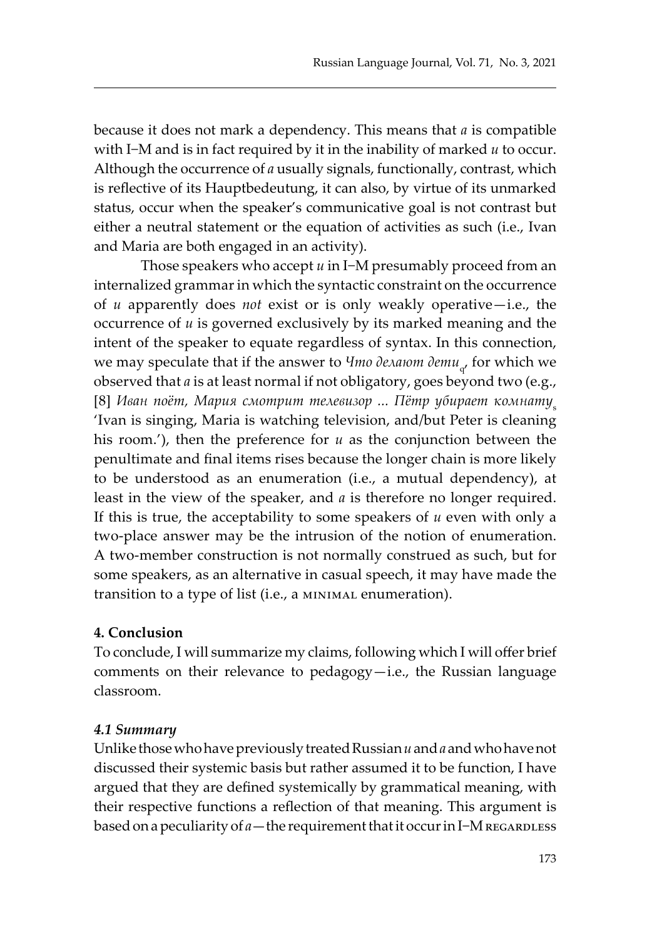because it does not mark a dependency. This means that *а* is compatible with I−M and is in fact required by it in the inability of marked *и* to occur. Although the occurrence of *а* usually signals, functionally, contrast, which is reflective of its Hauptbedeutung, it can also, by virtue of its unmarked status, occur when the speaker's communicative goal is not contrast but either a neutral statement or the equation of activities as such (i.e., Ivan and Maria are both engaged in an activity).

Those speakers who accept *и* in I−M presumably proceed from an internalized grammar in which the syntactic constraint on the occurrence of *и* apparently does *not* exist or is only weakly operative—i.e., the occurrence of *и* is governed exclusively by its marked meaning and the intent of the speaker to equate regardless of syntax. In this connection, we may speculate that if the answer to *Что делают дети<sub>ч</sub>,* for which we observed that *а* is at least normal if not obligatory, goes beyond two (e.g., [8] Иван поёт, Мария смотрит телевизор ... Пётр убирает комнату<sub>s</sub> 'Ivan is singing, Maria is watching television, and/but Peter is cleaning his room.'), then the preference for *u* as the conjunction between the penultimate and final items rises because the longer chain is more likely to be understood as an enumeration (i.e., a mutual dependency), at least in the view of the speaker, and *а* is therefore no longer required. If this is true, the acceptability to some speakers of *и* even with only a two-place answer may be the intrusion of the notion of enumeration. A two-member construction is not normally construed as such, but for some speakers, as an alternative in casual speech, it may have made the transition to a type of list (i.e., a minimal enumeration).

#### **4. Conclusion**

To conclude, I will summarize my claims, following which I will offer brief comments on their relevance to pedagogy—i.e., the Russian language classroom.

#### *4.1 Summary*

Unlike those who have previously treated Russian *и* and *а* and who have not discussed their systemic basis but rather assumed it to be function, I have argued that they are defined systemically by grammatical meaning, with their respective functions a reflection of that meaning. This argument is based on a peculiarity of *a*—the requirement that it occur in I−M regardless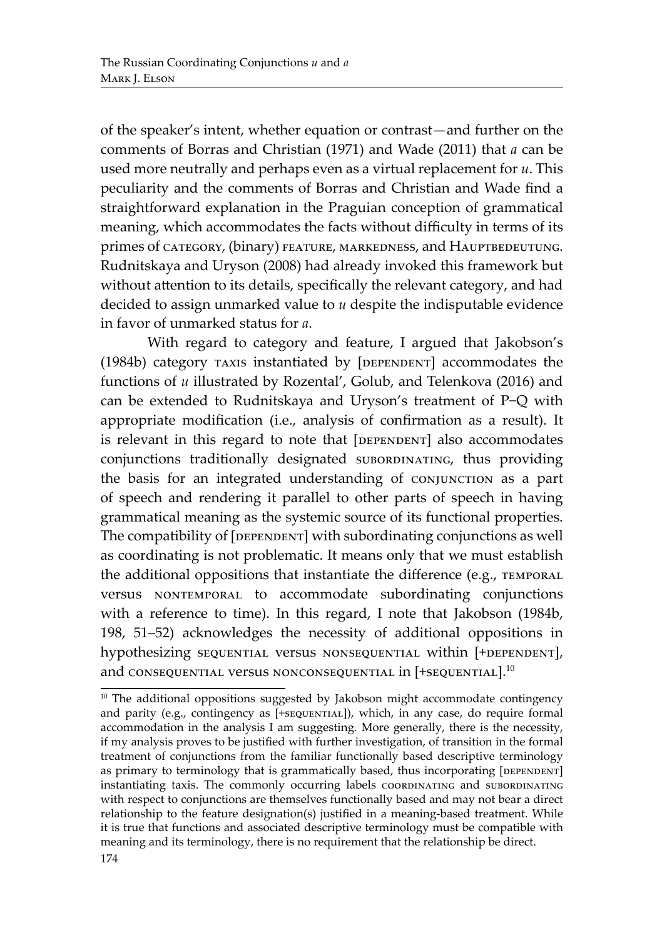of the speaker's intent, whether equation or contrast—and further on the comments of Borras and Christian (1971) and Wade (2011) that *а* can be used more neutrally and perhaps even as a virtual replacement for *и*. This peculiarity and the comments of Borras and Christian and Wade find a straightforward explanation in the Praguian conception of grammatical meaning, which accommodates the facts without difficulty in terms of its primes of category, (binary) FEATURE, MARKEDNESS, and HAUPTBEDEUTUNG. Rudnitskaya and Uryson (2008) had already invoked this framework but without attention to its details, specifically the relevant category, and had decided to assign unmarked value to *и* despite the indisputable evidence in favor of unmarked status for *а*.

With regard to category and feature, I argued that Jakobson's (1984b) category TAXIS instantiated by [DEPENDENT] accommodates the functions of *u* illustrated by Rozental', Golub, and Telenkova (2016) and can be extended to Rudnitskaya and Uryson's treatment of P−Q with appropriate modification (i.e., analysis of confirmation as a result). It is relevant in this regard to note that [DEPENDENT] also accommodates conjunctions traditionally designated subordinating, thus providing the basis for an integrated understanding of CONJUNCTION as a part of speech and rendering it parallel to other parts of speech in having grammatical meaning as the systemic source of its functional properties. The compatibility of [DEPENDENT] with subordinating conjunctions as well as coordinating is not problematic. It means only that we must establish the additional oppositions that instantiate the difference (e.g., TEMPORAL versus NONTEMPORAL to accommodate subordinating conjunctions with a reference to time). In this regard, I note that Jakobson (1984b, 198, 51–52) acknowledges the necessity of additional oppositions in hypothesizing sequential versus nonsequential within [+DEPENDENT], and consequential versus nonconsequential in [+sequential].<sup>10</sup>

<sup>&</sup>lt;sup>10</sup> The additional oppositions suggested by Jakobson might accommodate contingency and parity (e.g., contingency as [+sequential]), which, in any case, do require formal accommodation in the analysis I am suggesting. More generally, there is the necessity, if my analysis proves to be justified with further investigation, of transition in the formal treatment of conjunctions from the familiar functionally based descriptive terminology as primary to terminology that is grammatically based, thus incorporating [DEPENDENT] instantiating taxis. The commonly occurring labels coordinating and subordinating with respect to conjunctions are themselves functionally based and may not bear a direct relationship to the feature designation(s) justified in a meaning-based treatment. While it is true that functions and associated descriptive terminology must be compatible with meaning and its terminology, there is no requirement that the relationship be direct.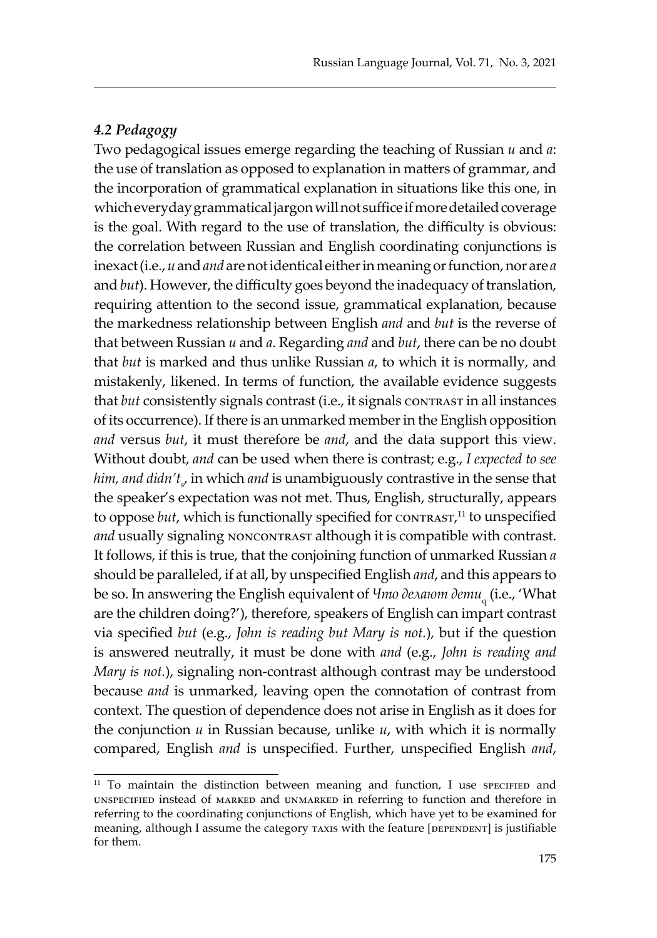#### *4.2 Pedagogy*

Two pedagogical issues emerge regarding the teaching of Russian *и* and *а*: the use of translation as opposed to explanation in matters of grammar, and the incorporation of grammatical explanation in situations like this one, in which everyday grammatical jargon will not suffice if more detailed coverage is the goal. With regard to the use of translation, the difficulty is obvious: the correlation between Russian and English coordinating conjunctions is inexact (i.e., *и* and *and* are not identical either in meaning or function, nor are *а* and *but*). However, the difficulty goes beyond the inadequacy of translation, requiring attention to the second issue, grammatical explanation, because the markedness relationship between English *and* and *but* is the reverse of that between Russian *и* and *а*. Regarding *and* and *but*, there can be no doubt that *but* is marked and thus unlike Russian *а*, to which it is normally, and mistakenly, likened. In terms of function, the available evidence suggests that *but* consistently signals contrast (i.e., it signals contrast in all instances of its occurrence). If there is an unmarked member in the English opposition *and* versus *but*, it must therefore be *and*, and the data support this view. Without doubt, *and* can be used when there is contrast; e.g., *I expected to see him, and didn't<sub>s</sub>*, in which *and* is unambiguously contrastive in the sense that the speaker's expectation was not met. Thus, English, structurally, appears to oppose *but*, which is functionally specified for CONTRAST,<sup>11</sup> to unspecified and usually signaling NONCONTRAST although it is compatible with contrast. It follows, if this is true, that the conjoining function of unmarked Russian *а*  should be paralleled, if at all, by unspecified English *and*, and this appears to be so. In answering the English equivalent of *Что делают дети* q (i.e., 'What are the children doing?'), therefore, speakers of English can impart contrast via specified *but* (e.g., *John is reading but Mary is not.*), but if the question is answered neutrally, it must be done with *and* (e.g., *John is reading and Mary is not.*), signaling non-contrast although contrast may be understood because *and* is unmarked, leaving open the connotation of contrast from context. The question of dependence does not arise in English as it does for the conjunction *и* in Russian because, unlike *и*, with which it is normally compared, English *and* is unspecified. Further, unspecified English *and*,

<sup>&</sup>lt;sup>11</sup> To maintain the distinction between meaning and function, I use specified and unspecified instead of marked and unmarked in referring to function and therefore in referring to the coordinating conjunctions of English, which have yet to be examined for meaning, although I assume the category  $\tau$ AXIS with the feature [DEPENDENT] is justifiable for them.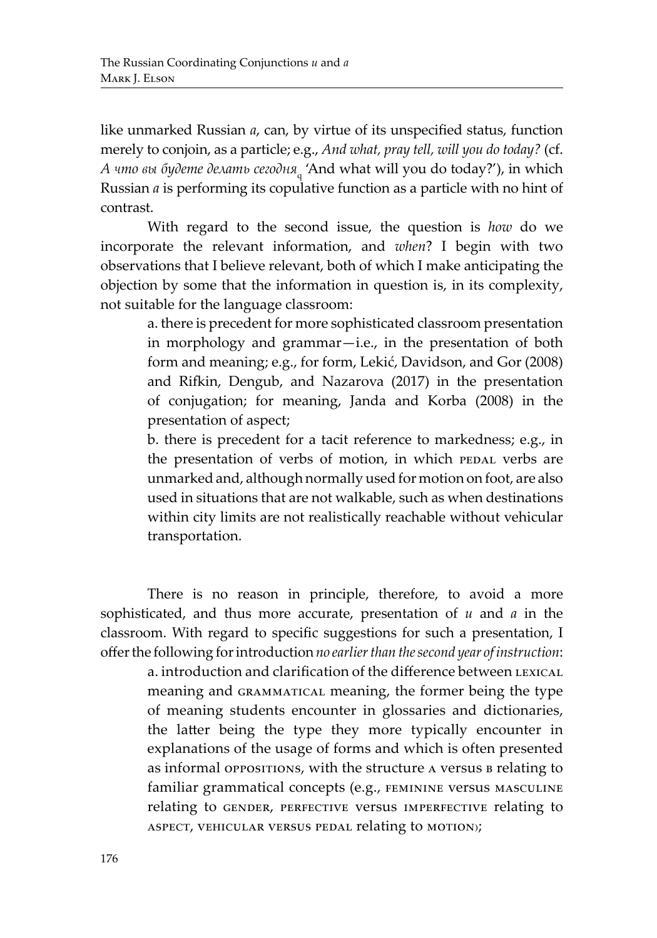like unmarked Russian *а*, can, by virtue of its unspecified status, function merely to conjoin, as a particle; e.g., *And what, pray tell, will you do today?* (cf. *А что вы будете делать сегодня*<sup>q</sup> 'And what will you do today?'), in which Russian *а* is performing its copulative function as a particle with no hint of contrast.

With regard to the second issue, the question is *how* do we incorporate the relevant information, and *when*? I begin with two observations that I believe relevant, both of which I make anticipating the objection by some that the information in question is, in its complexity, not suitable for the language classroom:

a. there is precedent for more sophisticated classroom presentation in morphology and grammar—i.e., in the presentation of both form and meaning; e.g., for form, Lekić, Davidson, and Gor (2008) and Rifkin, Dengub, and Nazarova (2017) in the presentation of conjugation; for meaning, Janda and Korba (2008) in the presentation of aspect;

b. there is precedent for a tacit reference to markedness; e.g., in the presentation of verbs of motion, in which pedal verbs are unmarked and, although normally used for motion on foot, are also used in situations that are not walkable, such as when destinations within city limits are not realistically reachable without vehicular transportation.

There is no reason in principle, therefore, to avoid a more sophisticated, and thus more accurate, presentation of *и* and *а* in the classroom. With regard to specific suggestions for such a presentation, I offer the following for introduction *no earlier than the second year of instruction*:

a. introduction and clarification of the difference between LEXICAL meaning and grammatical meaning, the former being the type of meaning students encounter in glossaries and dictionaries, the latter being the type they more typically encounter in explanations of the usage of forms and which is often presented as informal oppositions, with the structure a versus **B** relating to familiar grammatical concepts (e.g., feminine versus masculine relating to GENDER, PERFECTIVE Versus IMPERFECTIVE relating to aspect, vehicular versus pedal relating to motion);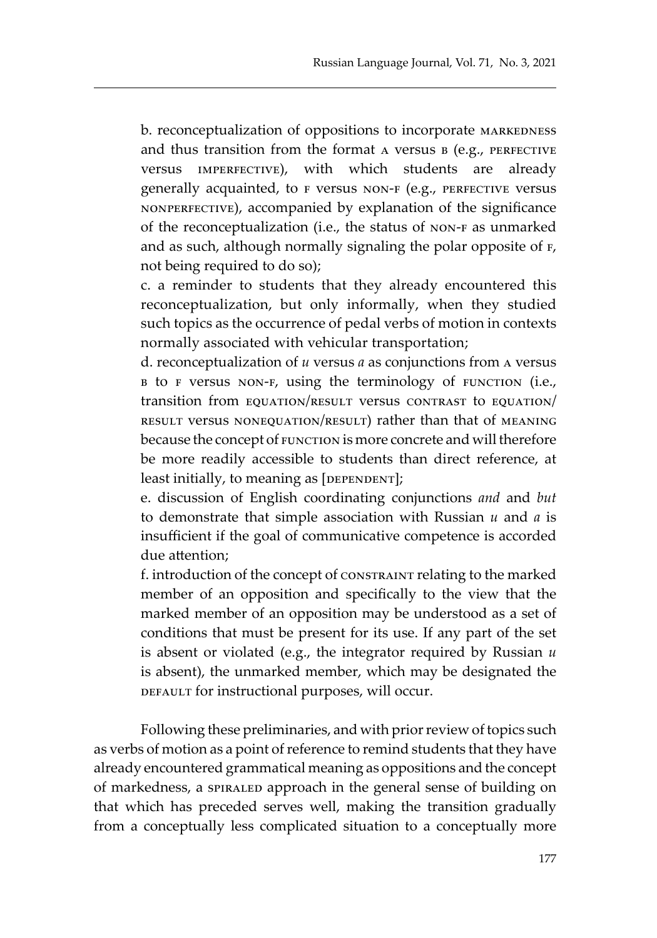b. reconceptualization of oppositions to incorporate MARKEDNESS and thus transition from the format  $A$  versus  $B$  (e.g., PERFECTIVE versus imperfective), with which students are already generally acquainted, to F versus NON-F (e.g., PERFECTIVE versus nonperfective), accompanied by explanation of the significance of the reconceptualization (i.e., the status of non-f as unmarked and as such, although normally signaling the polar opposite of  $F$ , not being required to do so);

c. a reminder to students that they already encountered this reconceptualization, but only informally, when they studied such topics as the occurrence of pedal verbs of motion in contexts normally associated with vehicular transportation;

d. reconceptualization of *и* versus *а* as conjunctions from a versus b to f versus non-f, using the terminology of function (i.e., transition from equation/result versus contrast to equation/ result versus nonequation/result) rather than that of meaning because the concept of FUNCTION is more concrete and will therefore be more readily accessible to students than direct reference, at least initially, to meaning as  $[DEFINDEF]$ ;

e. discussion of English coordinating conjunctions *and* and *but* to demonstrate that simple association with Russian *и* and *а* is insufficient if the goal of communicative competence is accorded due attention;

f. introduction of the concept of constraint relating to the marked member of an opposition and specifically to the view that the marked member of an opposition may be understood as a set of conditions that must be present for its use. If any part of the set is absent or violated (e.g., the integrator required by Russian *и* is absent), the unmarked member, which may be designated the DEFAULT for instructional purposes, will occur.

Following these preliminaries, and with prior review of topics such as verbs of motion as a point of reference to remind students that they have already encountered grammatical meaning as oppositions and the concept of markedness, a spiraled approach in the general sense of building on that which has preceded serves well, making the transition gradually from a conceptually less complicated situation to a conceptually more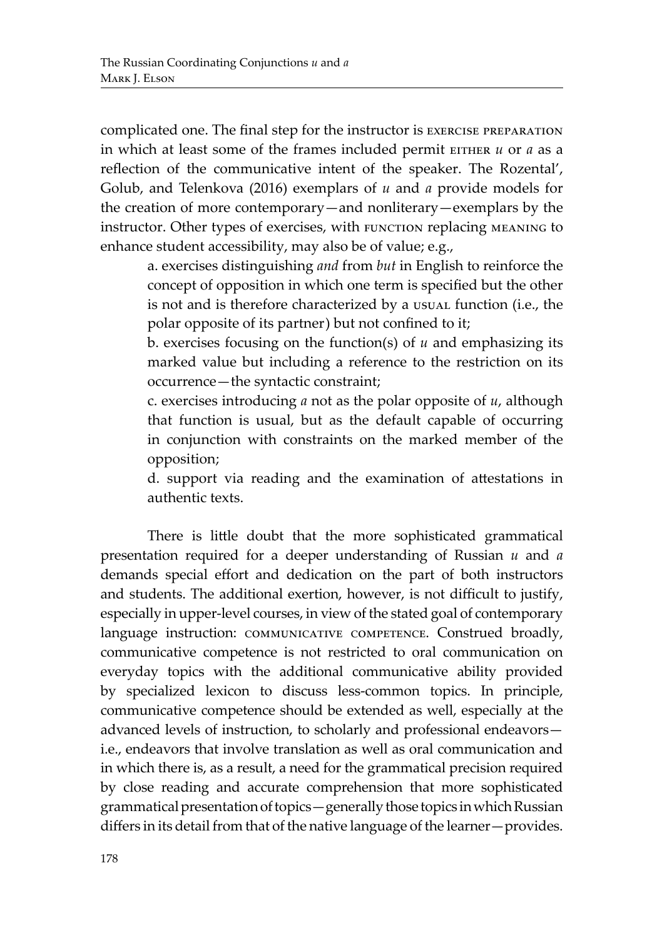complicated one. The final step for the instructor is exercise preparation in which at least some of the frames included permit EITHER *и* or *a* as a reflection of the communicative intent of the speaker. The Rozental', Golub, and Telenkova (2016) exemplars of *и* and *а* provide models for the creation of more contemporary—and nonliterary—exemplars by the instructor. Other types of exercises, with FUNCTION replacing MEANING to enhance student accessibility, may also be of value; e.g.,

a. exercises distinguishing *and* from *but* in English to reinforce the concept of opposition in which one term is specified but the other is not and is therefore characterized by a usual function (i.e., the polar opposite of its partner) but not confined to it;

b. exercises focusing on the function(s) of *и* and emphasizing its marked value but including a reference to the restriction on its occurrence—the syntactic constraint;

c. exercises introducing *а* not as the polar opposite of *и*, although that function is usual, but as the default capable of occurring in conjunction with constraints on the marked member of the opposition;

d. support via reading and the examination of attestations in authentic texts.

There is little doubt that the more sophisticated grammatical presentation required for a deeper understanding of Russian *и* and *а* demands special effort and dedication on the part of both instructors and students. The additional exertion, however, is not difficult to justify, especially in upper-level courses, in view of the stated goal of contemporary language instruction: COMMUNICATIVE COMPETENCE. Construed broadly, communicative competence is not restricted to oral communication on everyday topics with the additional communicative ability provided by specialized lexicon to discuss less-common topics. In principle, communicative competence should be extended as well, especially at the advanced levels of instruction, to scholarly and professional endeavors i.e., endeavors that involve translation as well as oral communication and in which there is, as a result, a need for the grammatical precision required by close reading and accurate comprehension that more sophisticated grammatical presentation of topics—generally those topics in which Russian differs in its detail from that of the native language of the learner—provides.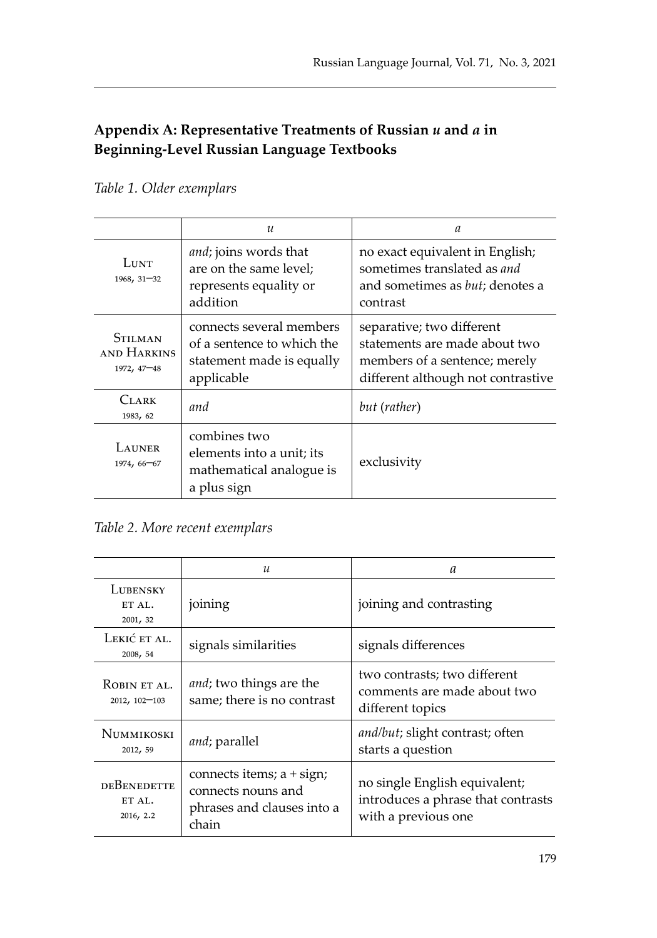# **Appendix A: Representative Treatments of Russian** *и* **and** *a* **in Beginning-Level Russian Language Textbooks**

# *Table 1. Older exemplars*

|                                              | $\mathcal{U}$                                                                                     | a                                                                                                                                 |  |
|----------------------------------------------|---------------------------------------------------------------------------------------------------|-----------------------------------------------------------------------------------------------------------------------------------|--|
| LUNT<br>1968, 31-32                          | and; joins words that<br>are on the same level;<br>represents equality or<br>addition             | no exact equivalent in English;<br>sometimes translated as and<br>and sometimes as <i>but</i> ; denotes a<br>contrast             |  |
| <b>STILMAN</b><br>AND HARKINS<br>1972, 47-48 | connects several members<br>of a sentence to which the<br>statement made is equally<br>applicable | separative; two different<br>statements are made about two<br>members of a sentence; merely<br>different although not contrastive |  |
| Clark<br>1983, 62                            | and                                                                                               | but (rather)                                                                                                                      |  |
| LAUNER<br>1974, 66-67                        | combines two<br>elements into a unit; its<br>mathematical analogue is<br>a plus sign              | exclusivity                                                                                                                       |  |

# *Table 2. More recent exemplars*

|                                    | $\boldsymbol{\mathcal{U}}$                                                             | а                                                                                          |  |
|------------------------------------|----------------------------------------------------------------------------------------|--------------------------------------------------------------------------------------------|--|
| LUBENSKY<br>ETAI.<br>2001, 32      | joining                                                                                | joining and contrasting                                                                    |  |
| Lekić et al.<br>2008, 54           | signals similarities                                                                   | signals differences                                                                        |  |
| ROBIN ET AL.<br>2012, 102-103      | <i>and</i> ; two things are the<br>same; there is no contrast                          | two contrasts; two different<br>comments are made about two<br>different topics            |  |
| NUMMIKOSKI<br>2012, 59             | and; parallel                                                                          | and/but; slight contrast; often<br>starts a question                                       |  |
| DEBENEDETTE<br>ET AL.<br>2016, 2.2 | connects items; a + sign;<br>connects nouns and<br>phrases and clauses into a<br>chain | no single English equivalent;<br>introduces a phrase that contrasts<br>with a previous one |  |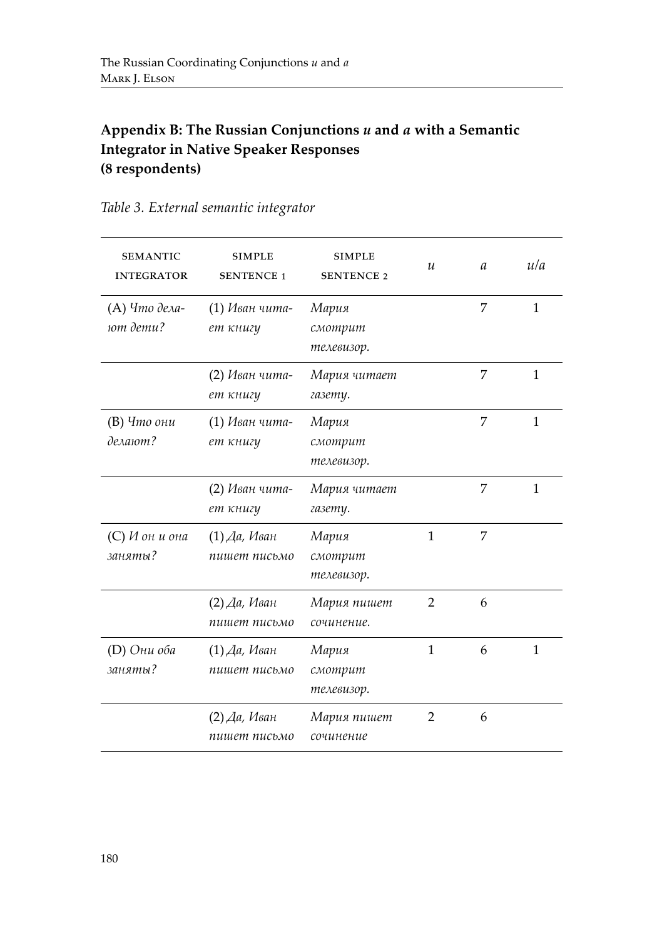# **Appendix B: The Russian Conjunctions** *и* **and** *a* **with a Semantic Integrator in Native Speaker Responses (8 respondents)**

| <b>SEMANTIC</b><br><b>INTEGRATOR</b> | <b>SIMPLE</b><br><b>SENTENCE 1</b> | <b>SIMPLE</b><br><b>SENTENCE 2</b> | $\mathcal{U}$  | $\mathfrak a$ | ula          |
|--------------------------------------|------------------------------------|------------------------------------|----------------|---------------|--------------|
| (А) Что дела-<br>ют дети?            | (1) Иван чита-<br>ет книгу         | Мария<br>смотрит<br>телевизор.     |                | 7             | 1            |
|                                      | (2) Иван чита-<br>ет книгу         | Мария читает<br>газету.            |                | 7             | $\mathbf{1}$ |
| (В) Что они<br>делают?               | (1) Иван чита-<br>ет книгу         | Мария<br>смотрит<br>телевизор.     |                | 7             | $\mathbf{1}$ |
|                                      | (2) Иван чита-<br>ет книгу         | Мария читает<br>газету.            |                | 7             | 1            |
| $(C)$ И он и она<br>заняты?          | $(1)$ Да, Иван<br>пишет письмо     | Мария<br>смотрит<br>телевизор.     | 1              | 7             |              |
|                                      | $(2)$ Да, Иван<br>пишет письмо     | Мария пишет<br>сочинение.          | $\overline{2}$ | 6             |              |
| (D) Они оба<br>заняты?               | $(1)$ Да, Иван<br>пишет письмо     | Мария<br>смотрит<br>телевизор.     | $\mathbf{1}$   | 6             | 1            |
|                                      | $(2)$ Да, Иван<br>пишет письмо     | Мария пишет<br>сочинение           | 2              | 6             |              |

# *Table 3. External semantic integrator*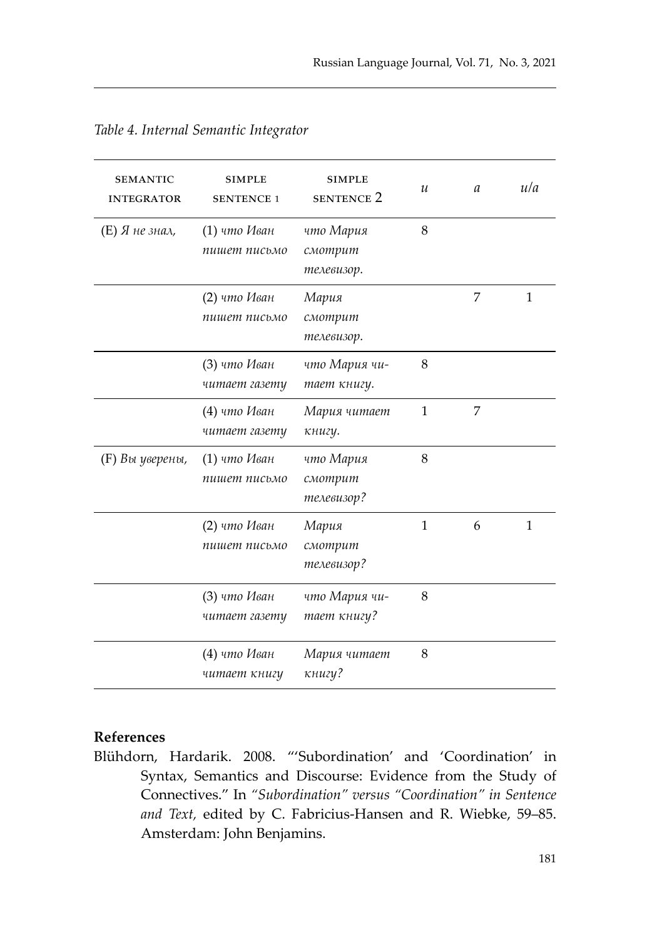| <b>SEMANTIC</b><br><b>INTEGRATOR</b> | <b>SIMPLE</b><br><b>SENTENCE 1</b> | <b>SIMPLE</b><br><b>SENTENCE 2</b> | u            | a | ula |
|--------------------------------------|------------------------------------|------------------------------------|--------------|---|-----|
| $(E)$ Я не знал,                     | (1) что Иван<br>пишет письмо       | что Мария<br>смотрит<br>телевизор. | 8            |   |     |
|                                      | (2) что Иван<br>пишет письмо       | Мария<br>смотрит<br>телевизор.     |              | 7 | 1   |
|                                      | (3) что Иван<br>читает газету      | что Мария чи-<br>тает книгу.       | 8            |   |     |
|                                      | (4) что Иван<br>читает газету      | Мария читает<br>книгу.             | $\mathbf{1}$ | 7 |     |
| (F) Вы уверены,                      | $(1)$ что Иван<br>пишет письмо     | что Мария<br>смотрит<br>телевизор? | 8            |   |     |
|                                      | (2) что Иван<br>пишет письмо       | Мария<br>смотрит<br>телевизор?     | $\mathbf{1}$ | 6 | 1   |
|                                      | (3) что Иван<br>читает газету      | что Мария чи-<br>тает книгу?       | 8            |   |     |
|                                      | (4) что Иван<br>читает книгу       | Мария читает<br>книгу?             | 8            |   |     |

# **References**

Blühdorn, Hardarik. 2008. "'Subordination' and 'Coordination' in Syntax, Semantics and Discourse: Evidence from the Study of Connectives." In *"Subordination" versus "Coordination" in Sentence and Text,* edited by C. Fabricius-Hansen and R. Wiebke, 59–85. Amsterdam: John Benjamins.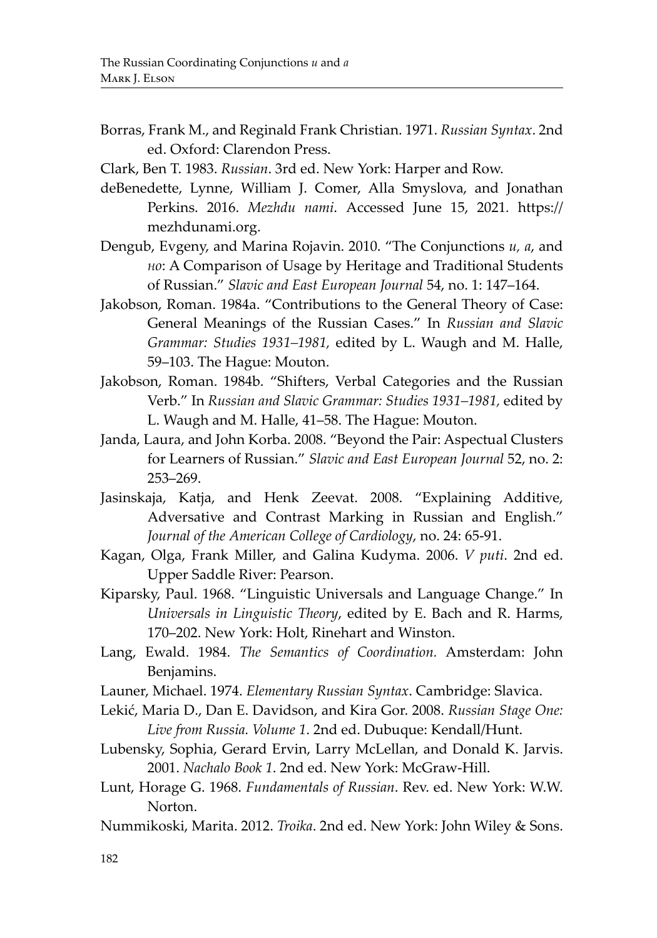- Borras, Frank M., and Reginald Frank Christian. 1971. *Russian Syntax*. 2nd ed. Oxford: Clarendon Press.
- Clark, Ben T. 1983. *Russian*. 3rd ed. New York: Harper and Row.
- deBenedette, Lynne, William J. Comer, Alla Smyslova, and Jonathan Perkins. 2016. *Mezhdu nami*. Accessed June 15, 2021*.* https:// mezhdunami.org.
- Dengub, Evgeny, and Marina Rojavin. 2010. "The Conjunctions *и, а*, and *но*: A Comparison of Usage by Heritage and Traditional Students of Russian." *Slavic and East European Journal* 54, no. 1: 147–164.
- Jakobson, Roman. 1984a. "Contributions to the General Theory of Case: General Meanings of the Russian Cases." In *Russian and Slavic Grammar: Studies 1931–1981,* edited by L. Waugh and M. Halle, 59–103. The Hague: Mouton.
- Jakobson, Roman. 1984b. "Shifters, Verbal Categories and the Russian Verb." In *Russian and Slavic Grammar: Studies 1931–1981,* edited by L. Waugh and M. Halle, 41–58. The Hague: Mouton.
- Janda, Laura, and John Korba. 2008. "Beyond the Pair: Aspectual Clusters for Learners of Russian." *Slavic and East European Journal* 52, no. 2: 253–269.
- Jasinskaja, Katja, and Henk Zeevat. 2008. "Explaining Additive, Adversative and Contrast Marking in Russian and English." *Journal of the American College of Cardiology*, no. 24: 65-91.
- Kagan, Olga, Frank Miller, and Galina Kudyma. 2006. *V puti*. 2nd ed. Upper Saddle River: Pearson.
- Kiparsky, Paul. 1968. "Linguistic Universals and Language Change." In *Universals in Linguistic Theory*, edited by E. Bach and R. Harms, 170–202. New York: Holt, Rinehart and Winston.
- Lang, Ewald. 1984. *The Semantics of Coordination.* Amsterdam: John Benjamins.
- Launer, Michael. 1974. *Elementary Russian Syntax*. Cambridge: Slavica.
- Lekić, Maria D., Dan E. Davidson, and Kira Gor. 2008. *Russian Stage One: Live from Russia. Volume 1*. 2nd ed. Dubuque: Kendall/Hunt.
- Lubensky, Sophia, Gerard Ervin, Larry McLellan, and Donald K. Jarvis. 2001. *Nachalo Book 1*. 2nd ed. New York: McGraw-Hill.
- Lunt, Horage G. 1968. *Fundamentals of Russian*. Rev. ed. New York: W.W. Norton.
- Nummikoski, Marita. 2012. *Troika*. 2nd ed. New York: John Wiley & Sons.